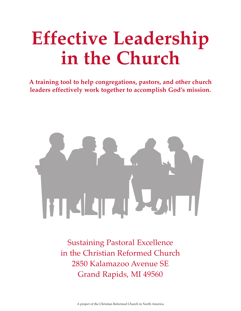# **Effective Leadership in the Church**

**A training tool to help congregations, pastors, and other church leaders effectively work together to accomplish God's mission.**



Sustaining Pastoral Excellence in the Christian Reformed Church 2850 Kalamazoo Avenue SE Grand Rapids, MI 49560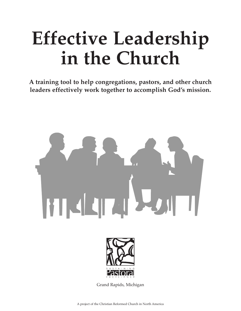# **Effective Leadership in the Church**

**A training tool to help congregations, pastors, and other church leaders effectively work together to accomplish God's mission.**

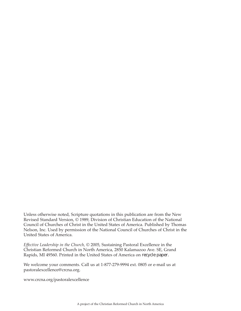Unless otherwise noted, Scripture quotations in this publication are from the New Revised Standard Version, © 1989, Division of Christian Education of the National Council of Churches of Christ in the United States of America. Published by Thomas Nelson, Inc. Used by permission of the National Council of Churches of Christ in the United States of America.

*Effective Leadership in the Church,* © 2005, Sustaining Pastoral Excellence in the Christian Reformed Church in North America, 2850 Kalamazoo Ave. SE, Grand Rapids, MI 49560. Printed in the United States of America on recycle paper.

We welcome your comments. Call us at 1-877-279-9994 ext. 0805 or e-mail us at pastoralexcellence@crcna.org.

www.crcna.org/pastoralexcellence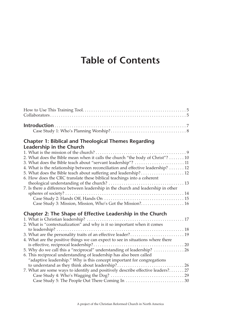# **Table of Contents**

| <b>Chapter 1: Biblical and Theological Themes Regarding</b><br>Leadership in the Church                                                                                                                                      |  |
|------------------------------------------------------------------------------------------------------------------------------------------------------------------------------------------------------------------------------|--|
|                                                                                                                                                                                                                              |  |
| 2. What does the Bible mean when it calls the church "the body of Christ"? 10<br>3. What does the Bible teach about "servant leadership"? 11                                                                                 |  |
| 4. What is the relationship between reconciliation and effective leadership? 12<br>5. What does the Bible teach about suffering and leadership? 12<br>6. How does the CRC translate these biblical teachings into a coherent |  |
|                                                                                                                                                                                                                              |  |
| 7. Is there a difference between leadership in the church and leadership in other                                                                                                                                            |  |
|                                                                                                                                                                                                                              |  |
|                                                                                                                                                                                                                              |  |
| Case Study 3: Mission, Mission, Who's Got the Mission? 16                                                                                                                                                                    |  |
|                                                                                                                                                                                                                              |  |
| Chapter 2: The Shape of Effective Leadership in the Church                                                                                                                                                                   |  |
|                                                                                                                                                                                                                              |  |
| 2. What is "contextualization" and why is it so important when it comes                                                                                                                                                      |  |
| 3. What are the personality traits of an effective leader?19                                                                                                                                                                 |  |
| 4. What are the positive things we can expect to see in situations where there                                                                                                                                               |  |
|                                                                                                                                                                                                                              |  |
| 5. Why do we call this a "reciprocal" understanding of leadership? 26                                                                                                                                                        |  |
| 6. This reciprocal understanding of leadership has also been called                                                                                                                                                          |  |
| "adaptive leadership." Why is this concept important for congregations                                                                                                                                                       |  |
|                                                                                                                                                                                                                              |  |
| 7. What are some ways to identify and positively describe effective leaders?27                                                                                                                                               |  |
|                                                                                                                                                                                                                              |  |
|                                                                                                                                                                                                                              |  |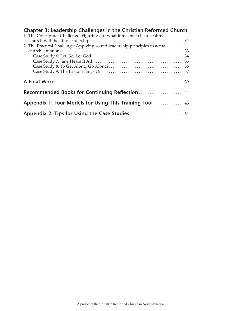| Chapter 3: Leadership Challenges in the Christian Reformed Church          |
|----------------------------------------------------------------------------|
| 1. The Conceptual Challenge: Figuring out what it means to be a healthy    |
|                                                                            |
| 2. The Practical Challenge: Applying sound leadership principles to actual |
|                                                                            |
|                                                                            |
|                                                                            |
|                                                                            |
|                                                                            |
|                                                                            |
|                                                                            |
| Appendix 1: Four Models for Using This Training Tool  43                   |
|                                                                            |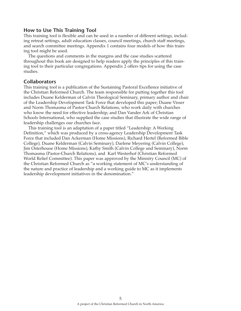### **How to Use This Training Tool**

This training tool is flexible and can be used in a number of different settings, including retreat settings, adult education classes, council meetings, church staff meetings, and search committee meetings. Appendix 1 contains four models of how this training tool might be used.

The questions and comments in the margins and the case studies scattered throughout this book are designed to help readers apply the principles of this training tool to their particular congregations. Appendix 2 offers tips for using the case studies.

### **Collaborators**

This training tool is a publication of the Sustaining Pastoral Excellence initiative of the Christian Reformed Church. The team responsible for putting together this tool includes Duane Kelderman of Calvin Theological Seminary, primary author and chair of the Leadership Development Task Force that developed this paper; Duane Visser and Norm Thomasma of Pastor-Church Relations, who work daily with churches who know the need for effective leadership; and Dan Vander Ark of Christian Schools International, who supplied the case studies that illustrate the wide range of leadership challenges our churches face.

This training tool is an adaptation of a paper titled "Leadership: A Working Definition," which was produced by a cross-agency Leadership Development Task Force that included Dan Ackerman (Home Missions), Richard Hertel (Reformed Bible College), Duane Kelderman (Calvin Seminary), Darlene Meyering (Calvin College), Jim Osterhouse (Home Missions), Kathy Smith (Calvin College and Seminary), Norm Thomasma (Pastor-Church Relations), and Karl Westerhof (Christian Reformed World Relief Committee). This paper was approved by the Ministry Council (MC) of the Christian Reformed Church as "a working statement of MC's understanding of the nature and practice of leadership and a working guide to MC as it implements leadership development initiatives in the denomination."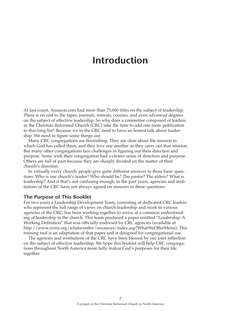### **Introduction**

At last count, Amazon.com had more than 75,000 titles on the subject of leadership. There is no end to the tapes, journals, retreats, courses, and even advanced degrees on the subject of effective leadership. So why does a committee composed of leaders in the Christian Reformed Church (CRC) take the time to add one more publication to that long list? Because we in the CRC need to have an honest talk about leadership. We need to figure some things out.

Many CRC congregations are flourishing. They are clear about the mission to which God has called them, and they love one another as they carry out that mission. But many other congregations face challenges in figuring out their direction and purpose. Some wish their congregation had a clearer sense of direction and purpose. Others are full of pain because they are sharply divided on the matter of their church's direction.

In virtually every church, people give quite different answers to these basic questions: Who is our church's leader? Who should be? The pastor? The elders? What is leadership? And if that's not confusing enough, in the past years, agencies and institutions of the CRC have not always agreed on answers to these questions.

#### **The Purpose of This Booklet**

For two years a Leadership Development Team, consisting of dedicated CRC leaders who represent the full range of views on church leadership and work in various agencies of the CRC, has been working together to arrive at a common understanding of leadership in the church. This team produced a paper entitled "Leadership: A Working Definition" that was officially endorsed by CRC agencies (available at http://www.crcna.org/whatweoffer/resources/index.asp?WhatWeOfferMenu). This training tool is an adaptation of that paper and is designed for congregational use.

The agencies and institutions of the CRC have been blessed by our joint reflection on the subject of effective leadership. We hope this booklet will help CRC congregations throughout North America more fully realize God's purposes for their life together.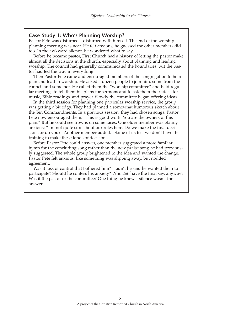#### **Case Study 1: Who's Planning Worship?**

Pastor Pete was disturbed—disturbed with himself. The end of the worship planning meeting was near. He felt anxious; he guessed the other members did too. In the awkward silence, he wondered what to say.

Before he became pastor, First Church had a history of letting the pastor make almost all the decisions in the church, especially about planning and leading worship. The council had generally communicated the boundaries, but the pastor had led the way in everything.

Then Pastor Pete came and encouraged members of the congregation to help plan and lead in worship. He asked a dozen people to join him, some from the council and some not. He called them the "worship committee" and held regular meetings to tell them his plans for sermons and to ask them their ideas for music, Bible readings, and prayer. Slowly the committee began offering ideas.

In the third session for planning one particular worship service, the group was getting a bit edgy. They had planned a somewhat humorous sketch about the Ten Commandments. In a previous session, they had chosen songs. Pastor Pete now encouraged them: "This is good work. You are the owners of this plan." But he could see frowns on some faces. One older member was plainly anxious: "I'm not quite sure about our roles here. Do we make the final decisions or do you?" Another member added, "Some of us feel we don't have the training to make these kinds of decisions."

Before Pastor Pete could answer, one member suggested a more familiar hymn for the concluding song rather than the new praise song he had previously suggested. The whole group brightened to the idea and wanted the change. Pastor Pete felt anxious, like something was slipping away, but nodded agreement.

Was it loss of control that bothered him? Hadn't he said he wanted them to participate? Should he confess his anxiety? Who *did* have the final say, anyway? Was it the pastor or the committee? One thing he knew—silence wasn't the answer.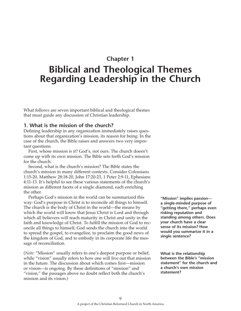### **Chapter 1**

# **Biblical and Theological Themes Regarding Leadership in the Church**

What follows are seven important biblical and theological themes that must guide any discussion of Christian leadership.

### **1. What is the mission of the church?**

Defining leadership in any organization immediately raises questions about that organization's mission, its reason for being. In the case of the church, the Bible raises and answers two very important questions.

First, whose mission is it? God's, not ours. The church doesn't come up with its own mission. The Bible sets forth God's mission for the church.

Second, what is the church's mission? The Bible states the church's mission in many different contexts. Consider Colossians 1:15-20, Matthew 28:18-20, John 17:20-23, 1 Peter 2:9-11, Ephesians 4:11-13. It's helpful to see these various statements of the church's mission as different facets of a single diamond, each enriching the other.

Perhaps God's mission in the world can be summarized this way: God's purpose in Christ is to reconcile all things to himself. The church is the body of Christ in the world—the means by which the world will know that Jesus Christ is Lord and through which all believers will reach maturity in Christ and unity in the faith and knowledge of Christ. To fulfill the mission of God to reconcile all things to himself, God sends the church into the world to spread the gospel, to evangelize, to proclaim the good news of the kingdom of God, and to embody in its corporate life the message of reconciliation.

(*Note:* "Mission" usually refers to one's deepest purpose or belief, while "vision" usually refers to how one will live out that mission in the future. The discussion about which comes first—mission or vision—is ongoing. By these definitions of "mission" and "vision," the passages above no doubt reflect both the church's mission and its vision.)

**"Mission" implies passion a single-minded purpose of "getting there," perhaps even risking reputation and standing among others. Does your church have a clear sense of its mission? How would you summarize it in a single sentence?**

**What is the relationship between the Bible's "mission statement" for the church and a church's own mission statement?**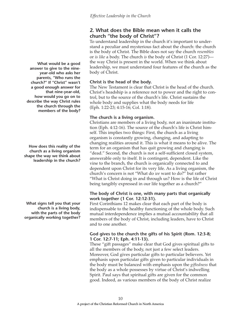### **2. What does the Bible mean when it calls the church "the body of Christ"?**

To understand leadership in the church it's important to understand a peculiar and mysterious fact about the church: the church is the body of Christ. The Bible does not say the church *resembles* or *is like* a body. The church *is* the body of Christ (1 Cor. 12:27) the way Christ is present in the world. When we think about leadership, we must understand four features of the church as the body of Christ.

### **Christ is the head of the body.**

The New Testament is clear that Christ is the head of the church. Christ's headship is a reference not to power and the right to control, but to the source of the church's life. Christ sustains the whole body and supplies what the body needs for life (Eph. 1:22-23; 4:15-16; Col. 1:18).

### **The church is a living organism.**

Christians are members of a living body, not an inanimate institution (Eph. 4:12-16). The source of the church's life is Christ himself. This implies two things: First, the church as a living organism is constantly growing, changing, and adapting to changing realities around it. This is what it means to be alive. The term for an organism that has quit growing and changing is "dead." Second, the church is not a self-sufficient closed system, answerable only to itself. It is contingent, dependent. Like the vine to the branch, the church is organically connected to and dependent upon Christ for its very life. As a living organism, the church's concern is not "What do *we* want to do?" but rather "What is Christ doing in and through us? How is the life of Christ being tangibly expressed in our life together as a church?"

### **The body of Christ is one, with many parts that organically work together (1 Cor. 12:12-31).**

First Corinthians 12 makes clear that each part of the body is indispensable to the healthy functioning of the whole body. Such mutual interdependence implies a mutual accountability that all members of the body of Christ, including leaders, have to Christ and to one another.

### **God gives to the church the gifts of his Spirit (Rom. 12:3-8; 1 Cor. 12:7-11; Eph. 4:11-13).**

These "gift passages" make clear that God gives spiritual gifts to all the members of the body, not just a few select leaders. Moreover, God gives particular gifts to particular believers. Yet emphasis upon particular gifts given to particular individuals in the body must be balanced with emphasis upon the *giftedness* that the body as a whole possesses by virtue of Christ's indwelling Spirit. Paul says that spiritual gifts are given for the common good. Indeed, as various members of the body of Christ realize

**What would be a good answer to give to the nineyear-old who asks her parents, "Who runs the church?" If "Christ" wasn't a good enough answer for that nine-year-old, how would you go on to describe the way Christ rules the church through the members of the body?**

**How does this reality of the church as a living organism shape the way we think about leadership in the church?**

**What signs tell you that your church is a living body, with the parts of the body organically working together?**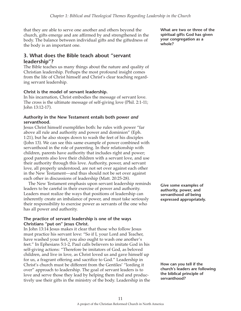that they are able to serve one another and others beyond the church, gifts emerge and are affirmed by and strengthened in the body. The balance between individual gifts and the giftedness of the body is an important one.

### **3. What does the Bible teach about "servant leadership"?**

The Bible teaches us many things about the nature and quality of Christian leadership. Perhaps the most profound insight comes from the life of Christ himself and Christ's clear teaching regarding servant leadership.

### **Christ is the model of servant leadership.**

In his incarnation, Christ embodies the message of servant love. The cross is the ultimate message of self-giving love (Phil. 2:1-11; John 13:12-17).

### **Authority in the New Testament entails both power** *and* **servanthood.**

Jesus Christ himself exemplifies both: he rules with power "far above all rule and authority and power and dominion" (Eph. 1:21), but he also stoops down to wash the feet of his disciples (John 13). We can see this same example of power combined with servanthood in the role of parenting. In their relationship with children, parents have authority that includes right and power; good parents also love their children with a servant love, and use their authority through this love. Authority, power, and servant love, all properly understood, are not set over against each other in the New Testament—and thus should not be set over against each other in discussions of leadership (Matt. 20:25-28).

The New Testament emphasis upon servant leadership reminds leaders to be careful in their exercise of power and authority. Leaders must realize the ways that positions of leadership can inherently create an imbalance of power, and must take seriously their responsibility to exercise power as servants of the one who has all power and authority.

### **The practice of servant leadership is one of the ways Christians "put on" Jesus Christ.**

In John 13:14 Jesus makes it clear that those who follow Jesus must practice his servant love: "So if I, your Lord and Teacher, have washed your feet, you also ought to wash one another's feet." In Ephesians 5:1-2, Paul calls believers to imitate God in his self-giving actions: "Therefore be imitators of God, as beloved children, and live in love, as Christ loved us and gave himself up for us, a fragrant offering and sacrifice to God." Leadership in Christ's church must be different from the Gentiles' "lording it over" approach to leadership. The goal of servant leaders is to love and serve those they lead by helping them find and productively use their gifts in the ministry of the body. Leadership in the **What are two or three of the spiritual gifts God has given your congregation as a whole?**

**Give some examples of authority, power, and servanthood** *all* **being expressed appropriately.**

**How can you tell if the church's leaders are following the biblical principle of servanthood?**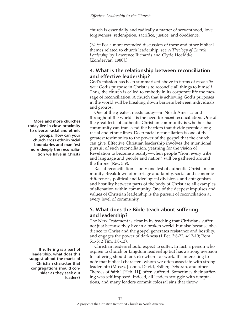church is essentially and radically a matter of servanthood, love, forgiveness, redemption, sacrifice, justice, and obedience.

(*Note:* For a more extended discussion of these and other biblical themes related to church leadership, see *A Theology of Church Leadership* by Lawrence Richards and Clyde Hoeldtke [Zondervan, 1980].)

### **4. What is the relationship between reconciliation and effective leadership?**

God's mission has been summarized above in terms of *reconciliation*: God's purpose in Christ is to reconcile all things to himself. Thus, the church is called to embody in its corporate life the message of reconciliation. A church that is achieving God's purposes in the world will be breaking down barriers between individuals and groups.

One of the greatest needs today—in North America and throughout the world—is the need for *racial* reconciliation. One of the great tests of authentic Christian community is whether that community can transcend the barriers that divide people along racial and ethnic lines. Deep racial reconciliation is one of the greatest testimonies to the power of the gospel that the church can give. Effective Christian leadership involves the intentional pursuit of such reconciliation, yearning for the vision of Revelation to become a reality—when people "from every tribe and language and people and nation" will be gathered around the throne (Rev. 5:9).

Racial reconciliation is only one test of authentic Christian community. Breakdown of marriage and family, social and economic differences, political and ideological divisions, and antagonism and hostility between parts of the body of Christ are all examples of alienation within community. One of the deepest impulses and values of Christian leadership is the pursuit of reconciliation at every level of community.

### **5. What does the Bible teach about suffering and leadership?**

The New Testament is clear in its teaching that Christians suffer not just because they live in a broken world, but also because obedience to Christ and the gospel generates resistance and hostility, and engages the power of darkness (1 Pet. 3:8-22; 4:12-19; Rom. 5:1-5; 2 Tim. 1:8-12).

Christian leaders should expect to suffer. In fact, a person who aspires to church or kingdom leadership but has a strong aversion to suffering should look elsewhere for work. It's interesting to note that biblical characters whom we often associate with strong leadership (Moses, Joshua, David, Esther, Deborah, and other "heroes of faith" [Heb. 11]) often suffered. Sometimes their suffering was self-imposed. Indeed, all leaders struggle with temptations, and many leaders commit colossal sins that throw

**More and more churches today live in close proximity to diverse racial and ethnic groups. How can your church cross ethnic/racial boundaries and manifest more deeply the reconciliation we have in Christ?**

**If suffering is a part of leadership, what does this suggest about the marks of Christian character that congregations should consider as they seek out leaders?**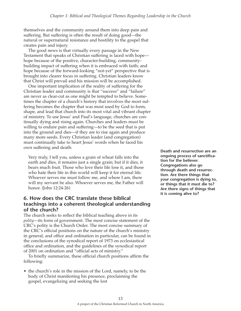themselves and the community around them into deep pain and suffering. But suffering is often the result of doing good—the natural or supernatural resistance and hostility to the gospel that creates pain and injury.

The good news is that virtually every passage in the New Testament that speaks of Christian suffering is laced with hope hope because of the positive, character-building, communitybuilding impact of suffering when it is embraced with faith; and hope because of the forward-looking "not-yet" perspective that is brought into clearer focus in suffering. Christian leaders know that Christ will prevail and his mission will be accomplished.

One important implication of the reality of suffering for the Christian leader and community is that "success" and "failure" are never as clear-cut as one might be tempted to believe. Sometimes the chapter of a church's history that involves the most suffering becomes the chapter that was most used by God to form, shape, and lead that church into its most vital and vibrant chapter of ministry. To use Jesus' and Paul's language, churches are continually dying and rising again. Churches and leaders must be willing to endure pain and suffering—to be the seed that is put into the ground and dies—if they are to rise again and produce many more seeds. Every Christian leader (and congregation) must continually take to heart Jesus' words when he faced his own suffering and death:

Very truly, I tell you, unless a grain of wheat falls into the earth and dies, it remains just a single grain; but if it dies, it bears much fruit. Those who love their life lose it, and those who hate their life in this world will keep it for eternal life. Whoever serves me must follow me, and where I am, there will my servant be also. Whoever serves me, the Father will honor. (John 12:24-26)

### **6. How does the CRC translate these biblical teachings into a coherent theological understanding of the church?**

The church seeks to reflect the biblical teaching above in its *polity*—its form of government. The most concise statement of the CRC's polity is the Church Order. The most concise summary of the CRC's official positions on the nature of the church's ministry in general, and office and ordination in particular, can be found in the conclusions of the synodical report of 1973 on ecclesiastical office and ordination, and the guidelines of the synodical report of 2001 on ordination and "official acts of ministry."

To briefly summarize, these official church positions affirm the following:

• the church's role in the mission of the Lord, namely, to be the body of Christ manifesting his presence, proclaiming the gospel, evangelizing and seeking the lost

**Death and resurrection are an ongoing process of sanctification for the believer. Congregations also go through death and resurrection. Are there things that your congregation is dying to, or things that it must die to? Are there signs of things that it is coming alive to?**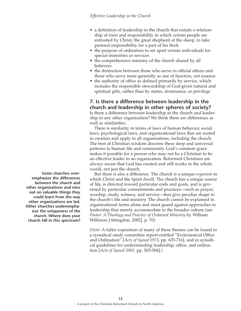- a definition of leadership in the church that entails a relationship of trust and responsibility in which certain people are entrusted by Christ, the great shepherd of the sheep, to take pastoral responsibility for a part of his flock
- the purpose of ordination to set apart certain individuals for special ministries or services
- the comprehensive ministry of the church shared by all believers
- the distinction between those who serve in official offices and those who serve more generally as one of function, not essence
- the authority of office as defined primarily by service, which includes the responsible stewardship of God-given natural and spiritual gifts, rather than by status, dominance, or privilege

### **7. Is there a difference between leadership in the church and leadership in other spheres of society?**

Is there a difference between leadership in the church and leadership in any other organization? We think there are differences as well as similarities.

There is similarity in terms of laws of human behavior, social laws, psychological laws, and organizational laws that are rooted in creation and apply to all organizations, including the church. The best of Christian wisdom discerns these deep and universal patterns to human life and community. God's common grace makes it possible for a person who may not be a Christian to be an effective leader in an organization. Reformed Christians are always aware that God has created and still works in the whole world, not just the church.

But there is also a difference. The church is a unique *organism* in which Christ and the Spirit dwell. The church has a unique source of life, is directed toward particular ends and goals, and is governed by particular commitments and practices—such as prayer, worship, study, witness, and service—that give peculiar shape to the church's life and ministry. The church cannot be explained in organizational terms alone and must guard against approaches to leadership that merely accommodate to the broader culture (see *Pastor: A Theology and Practice of Ordained Ministry* by William Willimon [Abingdon, 2002], p. 70).

(*Note:* A fuller exposition of many of these themes can be found in a synodical study committee report entitled "Ecclesiastical Office and Ordination" [*Acts of Synod 1973,* pp. 635-716], and in synodical guidelines for understanding leadership, office, and ordination [*Acts of Synod 2001,* pp. 503-504].)

**Some churches overemphasize the differences between the church and other organizations and miss out on valuable things they could learn from the way other organizations are led. Other churches underemphasize the uniqueness of the church. Where does your church fall in this spectrum?**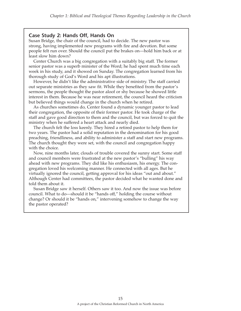### **Case Study 2: Hands Off, Hands On**

Susan Bridge, the chair of the council, had to decide. The new pastor was strong, having implemented new programs with fire and devotion. But some people felt run over. Should the council put the brakes on—hold him back or at least slow him down?

Center Church was a big congregation with a suitably big staff. The former senior pastor was a superb minister of the Word; he had spent much time each week in his study, and it showed on Sunday. The congregation learned from his thorough study of God's Word and his apt illustrations.

However, he didn't like the administrative side of ministry. The staff carried out separate ministries as they saw fit. While they benefited from the pastor's sermons, the people thought the pastor aloof or shy because he showed little interest in them. Because he was near retirement, the council heard the criticism but believed things would change in the church when he retired.

As churches sometimes do, Center found a dynamic younger pastor to lead their congregation, the opposite of their former pastor. He took charge of the staff and gave good direction to them and the council, but was forced to quit the ministry when he suffered a heart attack and nearly died.

The church felt the loss keenly. They hired a retired pastor to help them for two years. The pastor had a solid reputation in the denomination for his good preaching, friendliness, and ability to administer a staff and start new programs. The church thought they were set, with the council and congregation happy with the choice.

Now, nine months later, clouds of trouble covered the sunny start. Some staff and council members were frustrated at the new pastor's "bulling" his way ahead with new programs. They did like his enthusiasm, his energy. The congregation loved his welcoming manner. He connected with all ages. But he virtually ignored the council, getting approval for his ideas "out and about." Although Center had committees, the pastor decided what he wanted done and told them about it.

Susan Bridge saw it herself. Others saw it too. And now the issue was before council. What to do—should it be "hands off," holding the course without change? Or should it be "hands on," intervening somehow to change the way the pastor operated?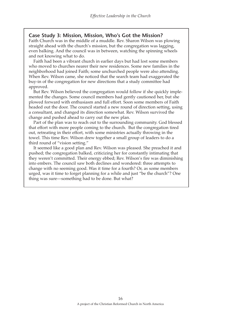### **Case Study 3: Mission, Mission, Who's Got the Mission?**

Faith Church was in the middle of a muddle. Rev. Sharon Wilson was plowing straight ahead with the church's mission, but the congregation was lagging, even balking. And the council was in between, watching the spinning wheels and not knowing what to do.

Faith had been a vibrant church in earlier days but had lost some members who moved to churches nearer their new residences. Some new families in the neighborhood had joined Faith; some unchurched people were also attending. When Rev. Wilson came, she noticed that the search team had exaggerated the buy-in of the congregation for new directions that a study committee had approved.

But Rev. Wilson believed the congregation would follow if she quickly implemented the changes. Some council members had gently cautioned her, but she plowed forward with enthusiasm and full effort. Soon some members of Faith headed out the door. The council started a new round of direction setting, using a consultant, and changed its direction somewhat. Rev. Wilson survived the change and pushed ahead to carry out the new plan.

Part of the plan was to reach out to the surrounding community. God blessed that effort with more people coming to the church. But the congregation tired out, retreating in their effort, with some ministries actually throwing in the towel. This time Rev. Wilson drew together a small group of leaders to do a third round of "vision setting."

It seemed like a good plan and Rev. Wilson was pleased. She preached it and pushed; the congregation balked, criticizing her for constantly intimating that they weren't committed. Their energy ebbed; Rev. Wilson's fire was diminishing into embers. The council saw both declines and wondered: three attempts to change with no seeming good. Was it time for a fourth? Or, as some members urged, was it time to forget planning for a while and just "be the church"? One thing was sure—something had to be done. But what?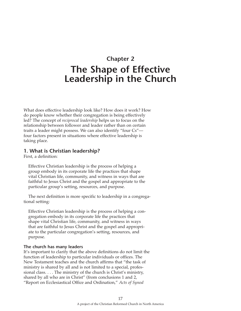### **Chapter 2 The Shape of Effective Leadership in the Church**

What does effective leadership look like? How does it work? How do people know whether their congregation is being effectively led? The concept of *reciprocal leadership* helps us to focus on the relationship between follower and leader rather than on certain traits a leader might possess. We can also identify "four Cs" four factors present in situations where effective leadership is taking place.

### **1. What is Christian leadership?**

First, a definition:

Effective Christian leadership is the process of helping a group embody in its corporate life the practices that shape vital Christian life, community, and witness in ways that are faithful to Jesus Christ and the gospel and appropriate to the particular group's setting, resources, and purpose.

The next definition is more specific to leadership in a congregational setting:

Effective Christian leadership is the process of helping a congregation embody in its corporate life the practices that shape vital Christian life, community, and witness in ways that are faithful to Jesus Christ and the gospel and appropriate to the particular congregation's setting, resources, and purpose.

### **The church has many leaders**

It's important to clarify that the above definitions do not limit the function of leadership to particular individuals or offices. The New Testament teaches and the church affirms that "the task of ministry is shared by all and is not limited to a special, professional class. . . . The ministry of the church is Christ's ministry, shared by all who are in Christ" (from conclusions 1 and 2, "Report on Ecclesiastical Office and Ordination," *Acts of Synod*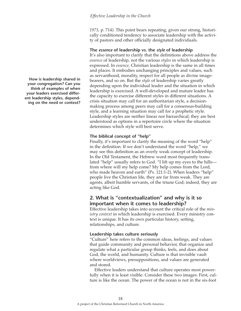*1973,* p. 714). This point bears repeating, given our strong, historically conditioned tendency to associate leadership with the activity of pastors and other officially designated individuals.

#### **The** *essence* **of leadership vs. the** *style* **of leadership**

It's also important to clarify that the definitions above address the *essence* of leadership, not the various *styles* in which leadership is expressed. In *essence,* Christian leadership is the same in all times and places. It embodies unchanging principles and values, such as servanthood, morality, respect for all people as divine imagebearers, and so on. But the *style* of leadership varies greatly depending upon the individual leader and the situation in which leadership is exercised. A well-developed and mature leader has the capacity to exercise different styles in different situations. A crisis situation may call for an authoritarian style, a decisionmaking process among peers may call for a consensus-building style, and a learning situation may call for a prophetic style. Leadership styles are neither linear nor hierarchical; they are best understood as options in a repertoire circle where the situation determines which style will best serve.

#### **The biblical concept of "help"**

Finally, it's important to clarify the meaning of the word "help" in the definition. If we don't understand the word "help," we may see this definition as an overly weak concept of leadership. In the Old Testament, the Hebrew word most frequently translated "help" usually refers to God. "I lift up my eyes to the hills from where will my help come? My help comes from the Lord, who made heaven and earth" (Ps. 121:1-2). When leaders "help" people live the Christian life, they are far from weak. They are agents, albeit humble servants, of the triune God; indeed, they are acting like God.

### **2. What is "contextualization" and why is it so important when it comes to leadership?**

Effective leadership takes into account the critical role of the *ministry context* in which leadership is exercised. Every ministry context is unique. It has its own particular history, setting, relationships, and culture.

#### **Leadership takes culture seriously**

"Culture" here refers to the common ideas, feelings, and values that guide community and personal behavior, that organize and regulate what a particular group thinks, feels, and does about God, the world, and humanity. Culture is that invisible vault where worldviews, presuppositions, and values are generated and stored.

Effective leaders understand that culture operates most powerfully when it is least visible. Consider these two images: First, culture is like the ocean. The power of the ocean is not in the six-foot

**How is leadership shared in your congregation? Can you think of examples of when your leaders exercised different leadership styles, depending on the need or context?**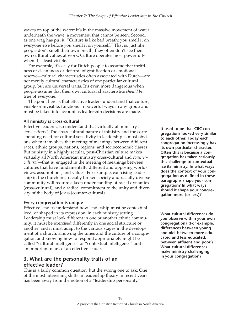waves on top of the water; it's in the massive movement of water underneath the wave, a movement that cannot be seen. Second, as one wag has put it, "Culture is like bad breath: you smell it on everyone else before you smell it on yourself." That is, just like people don't smell their own breath, they often don't see their own cultural values at work. Culture operates most powerfully when it is least visible.

For example, it's easy for Dutch people to assume that thriftiness or cleanliness or deferral of gratification or emotional reserve—cultural characteristics often associated with Dutch—are not merely cultural characteristics of one particular cultural group, but are universal traits. It's even more dangerous when people assume that their own cultural characteristics *should be* true of everyone.

The point here is that effective leaders understand that culture, visible or invisible, functions in powerful ways in any group and must be taken into account as leadership decisions are made.

### **All ministry is cross-cultural**

Effective leaders also understand that virtually all ministry is *cross-cultural.* The cross-cultural nature of ministry and the corresponding need for cultural sensitivity in leadership is most obvious when it involves the meeting of meanings between different races, ethnic groups, nations, regions, and socioeconomic classes. But ministry in a highly secular, post-Christian culture makes virtually all North American ministry cross-cultural and *countercultural*—that is, engaged in the meeting of meanings between cultures that have fundamentally different and opposing worldviews, assumptions, and values. For example, exercising leadership in the church in a racially broken society and racially diverse community will require a keen understanding of racial dynamics (cross-cultural), and a radical commitment to the unity and diversity of the body of Jesus (counter-cultural).

### **Every congregation is unique**

Effective leaders understand how leadership must be contextualized, or shaped in its expression, in each ministry setting. Leadership must look different in one or another ethnic community; it must be exercised differently in one social structure or another; and it must adapt to the various stages in the development of a church. Knowing the times and the culture of a congregation and knowing how to respond appropriately might be called "cultural intelligence" or "contextual intelligence" and is an important mark of an effective leader.

### **3. What are the personality traits of an effective leader?**

This is a fairly common question, but the wrong one to ask. One of the most interesting shifts in leadership theory in recent years has been away from the notion of a "leadership personality."

**It used to be that CRC congregations looked very similar to each other. Today each congregation increasingly has its own particular character. Often this is because a congregation has taken seriously this challenge to contextualize its ministry. In what ways does the context of your congregation as defined in these paragraphs shape your congregation? In what ways should it shape your congregation more (or less)?**

**What cultural differences do you observe within your own congregation? (For example, differences between young and old, between more educated and less educated, between affluent and poor.) What cultural differences make ministry challenging in your congregation?**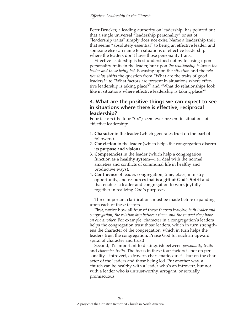Peter Drucker, a leading authority on leadership, has pointed out that a single universal "leadership personality" or set of "leadership traits" simply does not exist. Name a leadership trait that seems "absolutely essential" to being an effective leader, and someone else can name ten situations of effective leadership where the leaders don't have those personality traits.

Effective leadership is best understood not by focusing upon personality traits in the leader, but upon *the relationship between the leader and those being led.* Focusing upon the *situation* and the *relationships* shifts the question from "What are the traits of good leaders?" to "What factors are present in situations where effective leadership is taking place?" and "What do relationships look like in situations where effective leadership is taking place?"

### **4. What are the positive things we can expect to see in situations where there is effective, reciprocal leadership?**

Four factors (the four "Cs") seem ever-present in situations of effective leadership:

- 1. **Character** in the leader (which generates **trust** on the part of followers).
- 2. **Conviction** in the leader (which helps the congregation discern its **purpose and vision**).
- 3. **Competencies** in the leader (which help a congregation function as a **healthy system**—i.e., deal with the normal anxieties and conflicts of communal life in healthy and productive ways).
- 4. **Confluence** of leader, congregation, time, place, ministry opportunity, and resources that is **a gift of God's Spirit** and that enables a leader and congregation to work joyfully together in realizing God's purposes.

Three important clarifications must be made before expanding upon each of these factors.

First, notice how all four of these factors involve *both leader and congregation, the relationship between them, and the impact they have on one another.* For example, character in a congregation's leaders helps the congregation trust those leaders, which in turn strengthens the character of the congregation, which in turn helps the leaders trust the congregation. Praise God for such an upward spiral of character and trust!

Second, it's important to distinguish between *personality traits* and *character traits.* The focus in these four factors is not on personality—introvert, extrovert, charismatic, quiet—but on the character of the leaders and those being led. Put another way, a church can be healthy with a leader who's an introvert, but not with a leader who is untrustworthy, arrogant, or sexually promiscuous.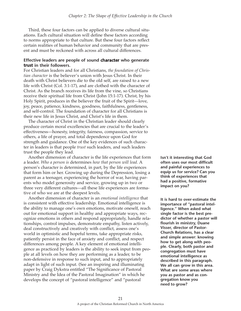Third, these four factors can be applied to diverse cultural situations. Each cultural situation will define these factors according to norms appropriate to that culture. But these four factors reflect certain realities of human behavior and community that are present and must be reckoned with across all cultural differences.

### **Effective leaders are people of sound character who generate trust in their followers.**

For Christian leaders and for all Christians, *the foundation of Christian character* is the believer's union with Jesus Christ. In their death with Christ believers die to the old self, are raised to a new life with Christ (Col. 3:1-17), and are clothed with the character of Christ. As the branch receives its life from the vine, so Christians receive their spiritual life from Christ (John 15:1-17). Christ, by his Holy Spirit, produces in the believer the fruit of the Spirit—love, joy, peace, patience, kindness, goodness, faithfulness, gentleness, and self-control. The foundation of character for all Christians is their new life in Jesus Christ, and Christ's life in them.

The character of Christ in the Christian leader should clearly produce certain moral excellencies that are crucial to the leader's effectiveness—honesty, integrity, fairness, compassion, service to others, a life of prayer, and total dependence upon God for strength and guidance. One of the key evidences of such character in leaders is that people *trust* such leaders, and such leaders trust the people they lead.

Another dimension of character is the life experiences that form a leader. *Who a person is* determines *how that person will lead.* A person's character is determined, in part, by the life experiences that form him or her. Growing up during the Depression, losing a parent as a teenager, experiencing the horror of war, having parents who model generosity and service, growing up in two or three very different cultures—all these life experiences are formative of who we are at the deepest levels.

Another dimension of character is an *emotional intelligence* that is consistent with effective leadership. Emotional intelligence is the ability to manage one's own emotions, motivate oneself, reach out for emotional support in healthy and appropriate ways, recognize emotions in others and respond appropriately, handle relationships, control impulses, demonstrate empathy, listen actively, deal constructively and creatively with conflict, assess one's world in optimistic and hopeful terms, take appropriate risks, patiently persist in the face of anxiety and conflict, and respect differences among people. A key element of emotional intelligence as practiced by leaders is the ability to seek input from people at all levels on how they are performing as a leader, to be non-defensive in response to such input, and to appropriately adapt in light of such input. (See an inspiring and illuminating paper by Craig Dykstra entitled "The Significance of Pastoral Ministry and the Idea of the Pastoral Imagination" in which he develops the concept of "pastoral intelligence" and "pastoral

**Isn't it interesting that God often uses our most difficult and painful experiences to equip us for service? Can you think of experiences that had a positive, formative impact on you?**

**It is hard to over-estimate the importance of "pastoral intelligence." When asked what single factor is the best predictor of whether a pastor will flourish in ministry, Duane Visser, director of Pastor-Church Relations, has a clear and simple answer: knowing how to get along with people. Clearly, both pastor and congregation must have emotional intelligence as described in this paragraph. We all can grow in this area. What are some areas where you as pastor and as congregation know you need to grow?**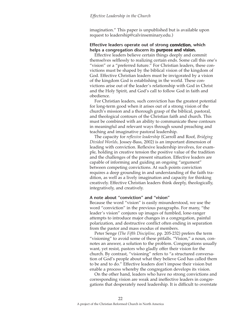imagination." This paper is unpublished but is available upon request to leadership@calvinseminary.edu.)

### **Effective leaders operate out of strong conviction, which helps a congregation discern its purpose and vision.**

Effective leaders believe certain things deeply and commit themselves selflessly to realizing certain ends. Some call this one's "vision" or a "preferred future." For Christian leaders, these convictions must be shaped by the biblical vision of the kingdom of God. Effective Christian leaders must be invigorated by a vision of the kingdom God is establishing in the world. These convictions arise out of the leader's relationship with God in Christ and the Holy Spirit, and God's call to follow God in faith and obedience.

For Christian leaders, such conviction has the greatest potential for long-term good when it arises out of a strong vision of the church's mission and a thorough grasp of the biblical, pastoral, and theological contours of the Christian faith and church. This must be combined with an ability to communicate these contours in meaningful and relevant ways through sound preaching and teaching and imaginative pastoral leadership.

The capacity for *reflexive leadership* (Carroll and Roof, *Bridging Divided Worlds,* Jossey-Bass, 2002) is an important dimension of leading with conviction. Reflexive leadership involves, for example, holding in creative tension the positive value of the tradition and the challenges of the present situation. Effective leaders are capable of informing and guiding an ongoing "argument" between competing convictions. At such points conviction requires a deep grounding in and understanding of the faith tradition, as well as a lively imagination and capacity for thinking creatively. Effective Christian leaders think deeply, theologically, integratively, and creatively.

### **A note about "conviction" and "vision"**

Because the word "vision" is easily misunderstood, we use the word "conviction" in the previous paragraphs. For many, "the leader's vision" conjures up images of fumbled, lone-ranger attempts to introduce major changes in a congregation, painful polarization, and destructive conflict often ending in separation from the pastor and mass exodus of members.

Peter Senge (*The Fifth Discipline,* pp. 205-232) prefers the term "visioning" to avoid some of these pitfalls. "Vision," a noun, connotes an answer, a solution to the problem. Congregations usually want, yet resist, pastors who gladly offer their vision for the church. By contrast, "visioning" refers to "a structured conversation of God's people about what they believe God has called them to be and to do." Effective leaders don't impose their vision but enable a process whereby the congregation develops its vision.

On the other hand, leaders who have no strong convictions and corresponding vision are weak and ineffective leaders in congregations that desperately need leadership. It is difficult to overstate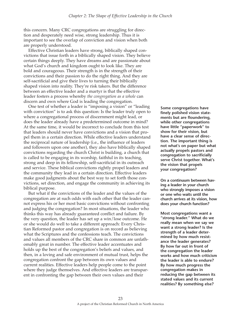this concern. Many CRC congregations are struggling for direction and desperately need wise, strong leadership. Thus it is important to see the overlap of conviction and vision when both are properly understood.

Effective Christian leaders have strong, biblically shaped convictions that issue forth in a biblically shaped vision. They believe certain things deeply. They have dreams and are passionate about what God's church and kingdom ought to look like. They are bold and courageous. Their strength is in the strength of their convictions and their passion to do the right thing. And they are self-sacrificial and give their lives to turning their biblically shaped vision into reality. They're risk takers. But the difference between an effective leader and a martyr is that the effective leader fosters a process whereby *the congregation as a whole* can discern and own where God is leading the congregation.

One test of whether a leader is "imposing a vision" or "leading with conviction" is to ask this question: Is the leader truly open to where a congregational process of discernment might lead, or does the leader already have a predetermined outcome in mind? At the same time, it would be incorrect to conclude from this test that leaders should never have convictions and a vision that propel them in a certain direction. While effective leaders understand the reciprocal nature of leadership (i.e., the influence of leaders and followers upon one another), they also have biblically shaped convictions regarding the church Christ is building, a church that is called to be engaging in its worship, faithful in its teaching, strong and deep in its fellowship, self-sacrificial in its outreach and service. These biblical convictions rightly propel leaders and the community they lead in a certain direction. Effective leaders make good judgments about the best way to set forth those convictions, set direction, and engage the community in achieving its biblical purpose.

But what if the convictions of the leader and the values of the congregation are at such odds with each other that the leader cannot express his or her most basic convictions without confronting and judging the congregation? In most situations, the leader who thinks this way has already guaranteed conflict and failure. By the very question, the leader has set up a win/lose outcome. He or she would do well to take a different approach: Every Christian Reformed pastor and congregation is on record as believing what the Scriptures and the confessions teach. The convictions and values all members of the CRC share in common are unfathomably great in number. The effective leader accentuates and holds up the best of the congregation's beliefs and values, and then, in a loving and safe environment of mutual trust, helps the congregation confront the gap between its own values and current realities. Effective leaders help people come to the point where they judge themselves. And effective leaders are transparent in confronting the gap between their own values and their

**Some congregations have finely polished vision statements but are floundering, while other congregations have little "paperwork" to show for their vision, but have a clear sense of direction. The important thing is not what's on paper but what actually propels pastors and congregation to sacrificially serve Christ together. What's the vision that propels your congregation?**

**On a continuum between having a leader in your church who strongly imposes a vision or one who waits until the church arrives at its vision, how does your church function?**

**Most congregations want a "strong leader." What do we really mean when we say we want a strong leader? Is the strength of a leader determined by how much resistance the leader generates? By how far out in front of the congregation the leader works and how much criticism the leader is able to endure? By how much progress the congregation makes in reducing the gap between its stated values and its current realities? By something else?**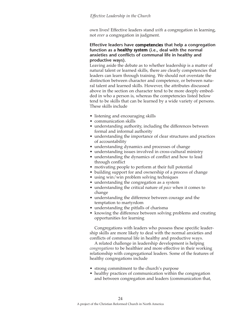own lives! Effective leaders stand *with* a congregation in learning, not *over* a congregation in judgment.

### **Effective leaders have competencies that help a congregation function as a healthy system (i.e., deal with the normal anxieties and conflicts of communal life in healthy and productive ways).**

Leaving aside the debate as to whether leadership is a matter of natural talent or learned skills, there are clearly competencies that leaders can learn through training. We should not overstate the distinction between character and competence, or between natural talent and learned skills. However, the attributes discussed above in the section on character tend to be more deeply embedded in who a person is, whereas the competencies listed below tend to be skills that can be learned by a wide variety of persons. These skills include

- listening and encouraging skills
- communication skills
- understanding authority, including the differences between formal and informal authority
- understanding the importance of clear structures and practices of accountability
- understanding dynamics and processes of change
- understanding issues involved in cross-cultural ministry
- understanding the dynamics of conflict and how to lead through conflict
- motivating people to perform at their full potential
- building support for and ownership of a process of change
- using win/win problem solving techniques
- understanding the congregation as a system
- understanding the critical nature of *pace* when it comes to change
- understanding the difference between courage and the temptation to martyrdom
- understanding the pitfalls of charisma
- knowing the difference between solving problems and creating opportunities for learning

Congregations with leaders who possess these specific leadership skills are more likely to deal with the normal anxieties and conflicts of communal life in healthy and productive ways.

A related challenge in leadership development is helping *congregations* to be healthier and more effective in their working relationship with congregational leaders. Some of the features of healthy congregations include

- strong commitment to the church's purpose
- healthy practices of communication within the congregation and between congregation and leaders (communication that,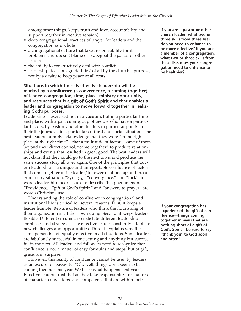among other things, keeps truth and love, accountability and support together in creative tension)

- deep congregational practices of prayer for leaders and the congregation as a whole
- a congregational culture that takes responsibility for its problems and doesn't blame or scapegoat the pastor or other leaders
- the ability to constructively deal with conflict
- leadership decisions guided first of all by the church's purpose, not by a desire to keep peace at all costs

**Situations in which there is effective leadership will be marked by a confluence (a convergence, a coming together) of leader, congregation, time, place, ministry opportunity, and resources that is a gift of God's Spirit and that enables a leader and congregation to move forward together in realizing God's purposes.**

Leadership is exercised not in a vacuum, but in a particular time and place, with a particular group of people who have a particular history, by pastors and other leaders in particular points in their life journeys, in a particular cultural and social situation. The best leaders humbly acknowledge that they were "in the right place at the right time"—that a multitude of factors, some of them beyond their direct control, "came together" to produce relationships and events that resulted in great good. The best leaders will not claim that they could go to the next town and produce the same success story all over again. One of the principles that govern leadership is a unique and unrepeatable confluence of factors that come together in the leader/follower relationship and broader ministry situation. "Synergy," "convergence," and "luck" are words leadership theorists use to describe this phenomenon. "Providence," "gift of God's Spirit," and "answers to prayer" are words Christians use.

Understanding the role of confluence in congregational and institutional life is critical for several reasons. First, it keeps a leader humble. Beware of leaders who think the flourishing of their organization is all their own doing. Second, it keeps leaders flexible. Different circumstances dictate different leadership emphases and strategies. The effective leader constantly adapts to new challenges and opportunities. Third, it explains why the same person is not equally effective in all situations. Some leaders are fabulously successful in one setting and anything but successful in the next. All leaders and followers need to recognize that confluence is not a matter of easy formulas and steps, but of gift, grace, and surprise.

However, this reality of confluence cannot be used by leaders as an excuse for passivity: "Oh, well, things don't seem to be coming together this year. We'll see what happens next year." Effective leaders trust that as they take responsibility for matters of character, convictions, and competence that are within their

**If you are a pastor or other church leader, what two or three skills from these lists do you need to enhance to be more effective? If you are a member of a congregation, what two or three skills from these lists does your congregation need to enhance to be healthier?**

**If your congregation has experienced the gift of confluence—things coming together in ways that are nothing short of a gift of God's Spirit—be sure to say "thank you" to God soon and often!**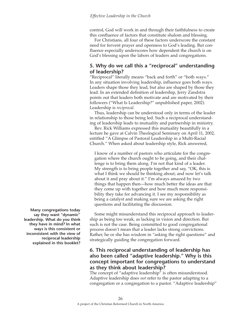control, God will work in and through their faithfulness to create this confluence of factors that constitute shalom and blessing.

For Christians, all four of these factors underscore the constant need for fervent prayer and openness to God's leading. But confluence especially underscores how dependent the church is on God's blessing upon the labors of leaders and congregations.

### **5. Why do we call this a "reciprocal" understanding of leadership?**

"Reciprocal" literally means "back and forth" or "both ways." In any situation involving leadership, influence goes both ways. Leaders shape those they lead, but also are shaped by those they lead. In an extended definition of leadership, Jerry Zandstra points out that leaders both motivate and are motivated by their followers ("What Is Leadership?" unpublished paper, 2002). Leadership is *reciprocal.*

Thus, leadership can be understood only in terms of the leader in relationship to those being led. Such a reciprocal understanding of leadership leads to mutuality and partnership in ministry.

Rev. Rick Williams expressed this mutuality beautifully in a lecture he gave at Calvin Theological Seminary on April 11, 2002, entitled "A Glimpse of Pastoral Leadership in a Multi-Racial Church." When asked about leadership style, Rick answered,

I know of a number of pastors who articulate for the congregation where the church ought to be going, and their challenge is to bring them along. I'm not that kind of a leader. My strength is to bring people together and say, "OK, this is what I think we should be thinking about; and now let's talk about it and pray about it." I'm always amazed by two things that happen then—how much better the ideas are that they come up with together and how much more responsibility they take for advancing it. I see my responsibility as being a catalyst and making sure we are asking the right questions and facilitating the discussion.

Some might misunderstand this reciprocal approach to leadership as being too weak, as lacking in vision and direction. But such is not the case. Being committed to good congregational process doesn't mean that a leader lacks strong convictions. Rather, he or she has wisdom in "asking the right questions" and strategically guiding the congregation forward.

### **6. This reciprocal understanding of leadership has also been called "adaptive leadership." Why is this concept important for congregations to understand as they think about leadership?**

The concept of "adaptive leadership" is often misunderstood. Adaptive leadership does *not* refer to the pastor adapting to a congregation or a congregation to a pastor. "Adaptive leadership"

**Many congregations today say they want "dynamic" leadership. What do you think they have in mind? In what ways is this consistent or inconsistent with the view of reciprocal leadership explained in this booklet?**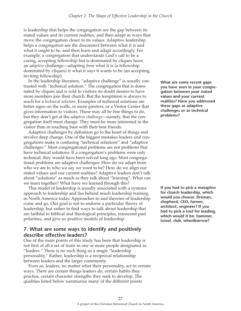is leadership that helps the congregation see the gap between its stated values and its current realities, and then adapt in ways that move the congregation closer to its values. Adaptive leadership helps a congregation see the disconnect between what it is and what it ought to be, and then learn and adapt accordingly. For example, a congregation that understands God's call to be a caring, accepting fellowship but is dominated by cliques faces an *adaptive* challenge—adapting *from* what it is (a fellowship dominated by cliques) *to* what it says it wants to be (an accepting, inviting fellowship).

In the leadership literature, "adaptive challenge" is usually contrasted with "technical solution." The congregation that is dominated by cliques and is cold to visitors no doubt desires to have more members join their church. But the temptation is always to reach for a *technical solution.* Examples of technical solutions are better signs on the walls, or more greeters, or a Visitor Center that gives information to visitors. Those may all be fine things to do, but they don't get at the *adaptive challenge*—namely, that the congregation itself must change. They must be more interested in the visitor than in touching base with their best friends.

Adaptive challenges by definition go to the heart of things and involve deep change. One of the biggest mistakes leaders and congregations make is confusing "technical solutions" and "adaptive challenges." Most congregational problems are not problems that have technical solutions. If a congregation's problems were only technical, they would have been solved long ago. Most congregational problems are adaptive challenges: How do we adapt from who we are to who we say we want to be? How do we align our stated values and our current realities? Adaptive leaders don't talk about "solutions" as much as they talk about "learning": What can we learn together? What have we learned through this?

This model of leadership is usually associated with a systems approach to leadership and lies behind much leadership training in North America today. Approaches to and theories of leadership come and go. Our goal is not to endorse a particular theory of leadership, but rather to find ways to talk about leadership that are faithful to biblical and theological principles, transcend past polarities, and give us positive models of leadership.

### **7. What are some ways to identify and positively describe effective leaders?**

One of the main points of this study has been that leadership is not first of all a set of traits in one or more people designated as "leaders." There is no such thing as a single "leadership personality." Rather, leadership is a reciprocal relationship between leaders and the larger community.

Even so, leaders, no matter what their personality, act in certain ways. There are certain things leaders do, certain habits they practice, certain character strengths they seek to develop. The qualities listed below summarize many of the different points

**What are some recent gaps you have seen in your congregation between your stated values and your current realities? Have you addressed these gaps as adaptive challenges or as technical problems?**

**If you had to pick a metaphor for church leadership, which would you choose: fireman, shepherd, CEO, farmer, architect, engineer? If you had to pick a tool for leading, which would it be: hammer, towel, club, wheelbarrow?**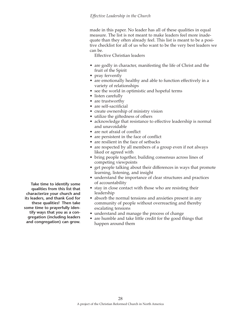#### *Effective Leadership in the Church*

made in this paper. No leader has all of these qualities in equal measure. The list is not meant to make leaders feel more inadequate than they often already feel. This list is meant to be a positive checklist for all of us who want to be the very best leaders we can be.

Effective Christian leaders

- are godly in character, manifesting the life of Christ and the fruit of the Spirit
- pray fervently
- are emotionally healthy and able to function effectively in a variety of relationships
- see the world in optimistic and hopeful terms
- listen carefully
- are trustworthy
- are self-sacrificial
- create ownership of ministry vision
- utilize the giftedness of others
- acknowledge that resistance to effective leadership is normal and unavoidable
- are not afraid of conflict
- are persistent in the face of conflict
- are resilient in the face of setbacks
- are respected by all members of a group even if not always liked or agreed with
- bring people together, building consensus across lines of competing viewpoints
- get people talking about their differences in ways that promote learning, listening, and insight
- understand the importance of clear structures and practices of accountability
- stay in close contact with those who are resisting their leadership
- absorb the normal tensions and anxieties present in any community of people without overreacting and thereby escalating tensions
- understand and manage the process of change
- are humble and take little credit for the good things that happen around them

**Take time to identify some qualities from this list that characterize your church and its leaders, and thank God for these qualities! Then take some time to prayerfully identify ways that you as a congregation (including leaders and congregation) can grow.**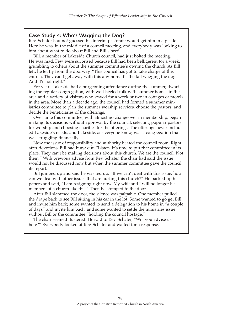### **Case Study 4: Who's Wagging the Dog?**

Rev. Schafer had not guessed his interim pastorate would get him in a pickle. Here he was, in the middle of a council meeting, and everybody was looking to him about what to do about Bill and Bill's beef.

Bill, a member of Lakeside Church council, had just bolted the meeting. He was mad. Few were surprised because Bill had been belligerent for a week, grumbling to others about the summer committee's owning the church. As Bill left, he let fly from the doorway, "This council has got to take charge of this church. They can't get away with this anymore. It's the tail wagging the dog. And it's not right."

For years Lakeside had a burgeoning attendance during the summer, dwarfing the regular congregation, with well-heeled folk with summer homes in the area and a variety of visitors who stayed for a week or two in cottages or motels in the area. More than a decade ago, the council had formed a summer ministries committee to plan the summer worship services, choose the pastors, and decide the beneficiaries of the offerings.

Over time this committee, with almost no changeover in membership, began making its decisions without approval by the council, selecting popular pastors for worship and choosing charities for the offerings. The offerings never included Lakeside's needs, and Lakeside, as everyone knew, was a congregation that was struggling financially.

Now the issue of responsibility and authority heated the council room. Right after devotions, Bill had burst out: "Listen, it's time to put that committee in its place. They can't be making decisions about this church. We are the council. Not them." With previous advice from Rev. Schafer, the chair had said the issue would not be discussed now but when the summer committee gave the council its report.

Bill jumped up and said he was fed up: "If we can't deal with this issue, how can we deal with other issues that are hurting this church?" He packed up his papers and said, "I am resigning right now. My wife and I will no longer be members of a church like this." Then he stomped to the door.

After Bill slammed the door, the silence was palpable. One member pulled the drape back to see Bill sitting in his car in the lot. Some wanted to go get Bill and invite him back; some wanted to send a delegation to his home in "a couple of days" and invite him back; and some wanted to settle the ministries issue without Bill or the committee "holding the council hostage."

The chair seemed flustered. He said to Rev. Schafer, "Will you advise us here?" Everybody looked at Rev. Schafer and waited for a response.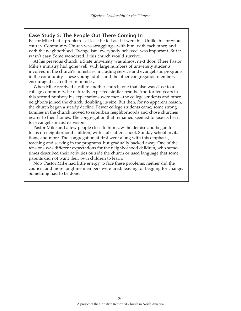### **Case Study 5: The People Out There Coming In**

Pastor Mike had a problem—at least he felt as if it were his. Unlike his previous church, Community Church was struggling—with him, with each other, and with the neighborhood. Evangelism, everybody believed, was important. But it wasn't easy. Some wondered if this church would survive.

At his previous church, a State university was almost next door. There Pastor Mike's ministry had gone well, with large numbers of university students involved in the church's ministries, including service and evangelistic programs in the community. These young adults and the other congregation members encouraged each other in ministry.

When Mike received a call to another church, one that also was close to a college community, he naturally expected similar results. And for ten years in this second ministry his expectations were met—the college students and other neighbors joined the church, doubling its size. But then, for no apparent reason, the church began a steady decline. Fewer college students came; some strong families in the church moved to suburban neighborhoods and chose churches nearer to their homes. The congregation that remained seemed to lose its heart for evangelism and its vision.

Pastor Mike and a few people close to him saw the demise and began to focus on neighborhood children, with clubs after school, Sunday school invitations, and more. The congregation at first went along with this emphasis, teaching and serving in the programs, but gradually backed away. One of the tensions was different expectations for the neighborhood children, who sometimes described their activities outside the church or used language that some parents did not want their own children to learn.

Now Pastor Mike had little energy to face these problems; neither did the council; and more longtime members were tired, leaving, or begging for change. Something had to be done.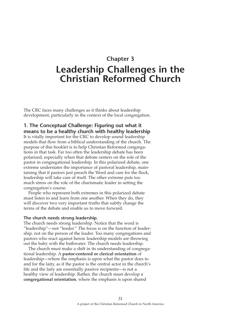### **Chapter 3**

# **Leadership Challenges in the Christian Reformed Church**

The CRC faces many challenges as it thinks about leadership development, particularly in the context of the local congregation.

### **1. The Conceptual Challenge: Figuring out what it means to be a healthy church with healthy leadership**

It is vitally important for the CRC to develop sound leadership models that flow from a biblical understanding of the church. The purpose of this booklet is to help Christian Reformed congregations in that task. Far too often the leadership debate has been polarized, especially when that debate centers on the role of the pastor in congregational leadership. In this polarized debate, one extreme understates the importance of pastoral leadership, maintaining that if pastors just preach the Word and care for the flock, leadership will take care of itself. The other extreme puts too much stress on the role of the charismatic leader in setting the congregation's course.

People who represent both extremes in this polarized debate must listen to and learn from one another. When they do, they will discover two very important truths that subtly change the terms of the debate and enable us to move forward.

### **The church needs strong leadership.**

The church needs strong leadership. Notice that the word is "leadership"—not "leader." The focus is on the function of leadership, not on the person of the leader. Too many congregations and pastors who react against heroic leadership models are throwing out the baby with the bathwater. The church needs leadership.

The church must make a shift in its understanding of congregational leadership. A **pastor-centered or clerical orientation** of leadership—where the emphasis is upon what the pastor does to and for the laity, as if the pastor is the central actor in the church's life and the laity are essentially passive recipients—is not a healthy view of leadership. Rather, the church must develop a **congregational orientation**, where the emphasis is upon shared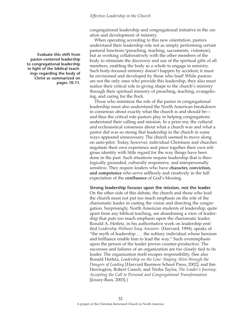congregational leadership and congregational initiative in the creation and development of ministry.

When operating according to this new orientation, pastors understand their leadership role not as simply performing certain pastoral functions (preaching, teaching, sacraments, visitation), but as working collaboratively with the other members of the body to stimulate the discovery and use of the spiritual gifts of all members, enabling the body as a whole to engage in ministry. Such body-focused ministry doesn't happen by accident; it must be envisioned and developed by those who lead! While pastors are not the only ones who provide this leadership, they also must realize their critical role in giving shape to the church's ministry through their spiritual ministry of preaching, teaching, evangelizing, and caring for the flock.

Those who minimize the role of the pastor in congregational leadership must also understand the North American breakdown in consensus about exactly what the church is and should be and thus the critical role pastors play in helping congregations understand their calling and mission. In a prior era, the cultural and ecclesiastical consensus about what a church was and what a pastor did was so strong that leadership in the church in some ways appeared unnecessary. The church seemed to move along on auto-pilot. Today, however, individual Christians and churches negotiate their own experience and piece together their own religious identity with little regard for the way things have been done in the past. Such situations require leadership that is theologically grounded, culturally responsive, and interpersonally sensitive. They require leaders who have **character, conviction, and competence** who serve selflessly and creatively in the full expectation of the **confluence** of God's blessing.

**Strong leadership focuses upon the mission, not the leader.** On the other side of this debate, the church and those who lead the church must not put too much emphasis on the role of the charismatic leader in casting the vision and directing the congregation. Surprisingly, North American students of leadership, quite apart from any biblical teaching, are abandoning a view of leadership that puts too much emphasis upon the charismatic leader. Ronald A. Heifetz, in his authoritative work on leadership entitled *Leadership Without Easy Answers* (Harvard, 1994), speaks of "the myth of leadership . . . the solitary individual whose heroism and brilliance enable him to lead the way." Such overemphasis upon the person of the leader proves counter-productive. The successes and failures of an organization are too closely tied to its leader. The organization itself escapes responsibility. (See also Ronald Heifetz, *Leadership on the Line: Staying Alive through the Dangers of Leading* [Harvard Business School Press, 2002]; and Jim Herrington, Robert Creech, and Trisha Taylor, *The Leader's Journey: Accepting the Call to Personal and Congregational Transformation* [Jossey-Bass, 2003].)

**Evaluate this shift from pastor-centered leadership to congregational leadership in light of the biblical teachings regarding the body of Christ as summarized on pages 10-11.**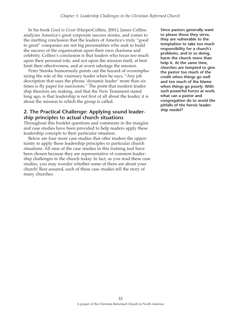In his book *Good to Great* (HarperCollins, 2001), James Collins analyzes America's great corporate success stories, and comes to the startling conclusion that the leaders of America's truly "good to great" companies are not big personalities who seek to build the success of the organization upon their own charisma and celebrity. Collins's conclusion is that leaders who focus too much upon their personal role, and not upon the mission itself, at best limit their effectiveness, and at worst sabotage the mission.

Peter Steinke humorously points out the hazard of overemphasizing the role of the visionary leader when he says, "Any job description that uses the phrase 'dynamic leader' more than six times is fly paper for narcissists." The point that modern leadership theorists are making, and that the New Testament stated long ago, is that leadership is not first of all about the leader, it is about the mission to which the group is called.

### **2. The Practical Challenge: Applying sound leadership principles to actual church situations**

Throughout this booklet questions and comments in the margins and case studies have been provided to help readers apply these leadership concepts to their particular situation.

Below are four more case studies that offer readers the opportunity to apply these leadership principles to particular church situations. All nine of the case studies in this training tool have been chosen because they are representative of common leadership challenges in the church today. In fact, as you read these case studies, you may wonder whether some of them are about your church! Rest assured, each of these case studies tell the story of many churches.

**Since pastors generally want to please those they serve, they are vulnerable to the temptation to take too much responsibility for a church's problems, and in so doing, harm the church more than help it. At the same time, churches are tempted to give the pastor too much of the credit when things go well and too much of the blame when things go poorly. With such powerful forces at work, what can a pastor and congregation do to avoid the pitfalls of the heroic leadership model?**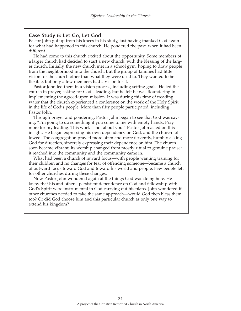### **Case Study 6: Let Go, Let God**

Pastor John got up from his knees in his study, just having thanked God again for what had happened in this church. He pondered the past, when it had been different.

He had come to this church excited about the opportunity. Some members of a larger church had decided to start a new church, with the blessing of the larger church. Initially, the new church met in a school gym, hoping to draw people from the neighborhood into the church. But the group of families had little vision for the church other than what they were used to. They wanted to be flexible, but only a few members had a vision for it.

Pastor John led them in a vision process, including setting goals. He led the church in prayer, asking for God's leading, but he felt he was floundering in implementing the agreed-upon mission. It was during this time of treading water that the church experienced a conference on the work of the Holy Spirit in the life of God's people. More than fifty people participated, including Pastor John.

Through prayer and pondering, Pastor John began to see that God was saying, "I'm going to do something if you come to me with empty hands. Pray more for my leading. This work is not about you." Pastor John acted on this insight. He began expressing his own dependency on God, and the church followed. The congregation prayed more often and more fervently, humbly asking God for direction, sincerely expressing their dependence on him. The church soon became vibrant; its worship changed from mostly ritual to genuine praise; it reached into the community and the community came in.

What had been a church of inward focus—with people wanting training for their children and no changes for fear of offending someone—became a church of outward focus toward God and toward his world and people. Few people left for other churches during these changes.

Now Pastor John wondered again at the things God was doing here. He knew that his and others' persistent dependence on God and fellowship with God's Spirit were instrumental in God carrying out his plans. John wondered if other churches needed to take the same approach—would God then bless them too? Or did God choose him and this particular church as only one way to extend his kingdom?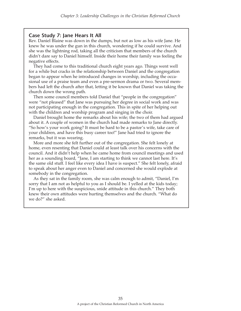### **Case Study 7: Jane Hears It All**

Rev. Daniel Blaine was down in the dumps, but not as low as his wife Jane. He knew he was under the gun in this church, wondering if he could survive. And she was the lightning rod, taking all the criticism that members of the church didn't dare say to Daniel himself. Inside their home their family was feeling the negative effects.

They had come to this traditional church eight years ago. Things went well for a while but cracks in the relationship between Daniel and the congregation began to appear when he introduced changes in worship, including the occasional use of a praise team and even a pre-sermon drama or two. Several members had left the church after that, letting it be known that Daniel was taking the church down the wrong path.

Then some council members told Daniel that "people in the congregation" were "not pleased" that Jane was pursuing her degree in social work and was not participating enough in the congregation. This in spite of her helping out with the children and worship program and singing in the choir.

Daniel brought home the remarks about his wife; the two of them had argued about it. A couple of women in the church had made remarks to Jane directly. "So how's your work going? It must be hard to be a pastor's wife, take care of your children, and have this busy career too!" Jane had tried to ignore the remarks, but it was wearing.

More and more she felt further out of the congregation. She felt lonely at home, even resenting that Daniel could at least talk over his concerns with the council. And it didn't help when he came home from council meetings and used her as a sounding board, "Jane, I am starting to think we cannot last here. It's the same old stuff. I feel like every idea I have is suspect." She felt lonely, afraid to speak about her anger even to Daniel and concerned she would explode at somebody in the congregation.

As they sat in the family room, she was calm enough to admit, "Daniel, I'm sorry that I am not as helpful to you as I should be. I yelled at the kids today; I'm up to here with the suspicious, snide attitude in this church." They both knew their own attitudes were hurting themselves and the church. "What do we do?" she asked.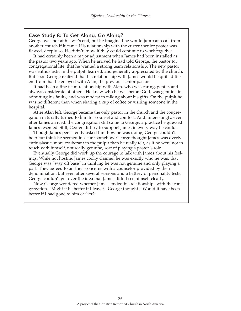### **Case Study 8: To Get Along, Go Along?**

George was not at his wit's end, but he imagined he would jump at a call from another church if it came. His relationship with the current senior pastor was flawed, deeply so. He didn't know if they could continue to work together.

It had certainly been a major adjustment when James had been installed as the pastor two years ago. When he arrived he had told George, the pastor for congregational life, that he wanted a strong team relationship. The new pastor was enthusiastic in the pulpit, learned, and generally appreciated by the church. But soon George realized that his relationship with James would be quite different from that he enjoyed with Alan, the previous senior pastor.

It had been a fine team relationship with Alan, who was caring, gentle, and always considerate of others. He knew who he was before God, was genuine in admitting his faults, and was modest in talking about his gifts. On the pulpit he was no different than when sharing a cup of coffee or visiting someone in the hospital.

After Alan left, George became the only pastor in the church and the congregation naturally turned to him for counsel and comfort. And, interestingly, even after James arrived, the congregation still came to George, a practice he guessed James resented. Still, George did try to support James in every way he could.

Though James persistently asked him how he was doing, George couldn't help but think he seemed insecure somehow. George thought James was overly enthusiastic, more exuberant in the pulpit than he really felt, as if he were not in touch with himself, not really genuine, sort of playing a pastor's role.

Eventually George did work up the courage to talk with James about his feelings. While not hostile, James coolly claimed he was exactly who he was, that George was "way off base" in thinking he was not genuine and only playing a part. They agreed to air their concerns with a counselor provided by their denomination, but even after several sessions and a battery of personality tests, George couldn't get over the idea that James didn't see himself clearly.

Now George wondered whether James envied his relationships with the congregation. "Might it be better if I leave?" George thought. "Would it have been better if I had gone to him earlier?"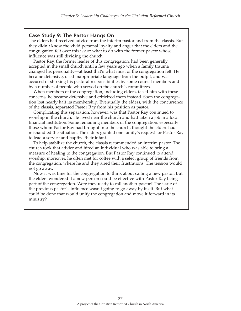### **Case Study 9: The Pastor Hangs On**

The elders had received advice from the interim pastor and from the classis. But they didn't know the vivid personal loyalty and anger that the elders and the congregation felt over this issue: what to do with the former pastor whose influence was still dividing the church.

Pastor Ray, the former leader of this congregation, had been generally accepted in the small church until a few years ago when a family trauma changed his personality—at least that's what most of the congregation felt. He became defensive, used inappropriate language from the pulpit, and was accused of shirking his pastoral responsibilities by some council members and by a number of people who served on the church's committees.

When members of the congregation, including elders, faced him with these concerns, he became defensive and criticized them instead. Soon the congregation lost nearly half its membership. Eventually the elders, with the concurrence of the classis, separated Pastor Ray from his position as pastor.

Complicating this separation, however, was that Pastor Ray continued to worship in the church. He lived near the church and had taken a job in a local financial institution. Some remaining members of the congregation, especially those whom Pastor Ray had brought into the church, thought the elders had mishandled the situation. The elders granted one family's request for Pastor Ray to lead a service and baptize their infant.

To help stabilize the church, the classis recommended an interim pastor. The church took that advice and hired an individual who was able to bring a measure of healing to the congregation. But Pastor Ray continued to attend worship; moreover, he often met for coffee with a select group of friends from the congregation, where he and they aired their frustrations. The tension would not go away.

Now it was time for the congregation to think about calling a new pastor. But the elders wondered if a new person could be effective with Pastor Ray being part of the congregation. Were they ready to call another pastor? The issue of the previous pastor's influence wasn't going to go away by itself. But what could be done that would unify the congregation and move it forward in its ministry?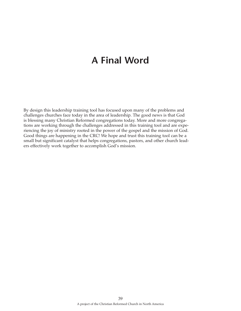# **A Final Word**

By design this leadership training tool has focused upon many of the problems and challenges churches face today in the area of leadership. The good news is that God is blessing many Christian Reformed congregations today. More and more congregations are working through the challenges addressed in this training tool and are experiencing the joy of ministry rooted in the power of the gospel and the mission of God. Good things are happening in the CRC! We hope and trust this training tool can be a small but significant catalyst that helps congregations, pastors, and other church leaders effectively work together to accomplish God's mission.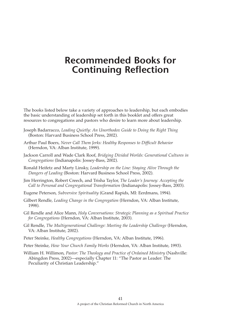## **Recommended Books for Continuing Reflection**

The books listed below take a variety of approaches to leadership, but each embodies the basic understanding of leadership set forth in this booklet and offers great resources to congregations and pastors who desire to learn more about leadership.

- Joseph Badarracco, *Leading Quietly: An Unorthodox Guide to Doing the Right Thing* (Boston: Harvard Business School Press, 2002).
- Arthur Paul Boers, *Never Call Them Jerks: Healthy Responses to Difficult Behavior* (Herndon, VA: Alban Institute, 1999).
- Jackson Carroll and Wade Clark Roof, *Bridging Divided Worlds: Generational Cultures in Congregations* (Indianapolis: Jossey-Bass, 2002).
- Ronald Heifetz and Marty Linsky, *Leadership on the Line: Staying Alive Through the Dangers of Leading* (Boston: Harvard Business School Press, 2002).
- Jim Herrington, Robert Creech, and Trisha Taylor, *The Leader's Journey: Accepting the Call to Personal and Congregational Transformation* (Indianapolis: Jossey-Bass, 2003).
- Eugene Peterson, *Subversive Spirituality* (Grand Rapids, MI: Eerdmans, 1994).
- Gilbert Rendle, *Leading Change in the Congregation* (Herndon, VA: Alban Institute, 1998).
- Gil Rendle and Alice Mann, *Holy Conversations: Strategic Planning as a Spiritual Practice for Congregations* (Herndon, VA: Alban Institute, 2003).
- Gil Rendle, *The Multigenerational Challenge: Meeting the Leadership Challenge* (Herndon, VA: Alban Institute, 2002).
- Peter Steinke, *Healthy Congregations* (Herndon, VA: Alban Institute, 1996).
- Peter Steinke, *How Your Church Family Works* (Herndon, VA: Alban Institute, 1993).
- William H. Willimon, *Pastor: The Theology and Practice of Ordained Ministry* (Nashville: Abingdon Press, 2002)—especially Chapter 11: "The Pastor as Leader: The Peculiarity of Christian Leadership."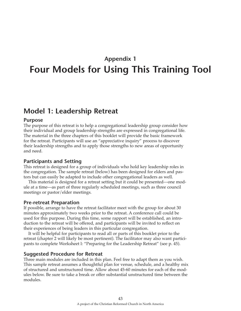# **Appendix 1 Four Models for Using This Training Tool**

### **Model 1: Leadership Retreat**

### **Purpose**

The purpose of this retreat is to help a congregational leadership group consider how their individual and group leadership strengths are expressed in congregational life. The material in the three chapters of this booklet will provide the basic framework for the retreat. Participants will use an "appreciative inquiry" process to discover their leadership strengths and to apply those strengths to new areas of opportunity and need.

### **Participants and Setting**

This retreat is designed for a group of individuals who hold key leadership roles in the congregation. The sample retreat (below) has been designed for elders and pastors but can easily be adapted to include other congregational leaders as well.

This material is designed for a retreat setting but it could be presented—one module at a time—as part of three regularly scheduled meetings, such as three council meetings or pastor/elder meetings.

### **Pre-retreat Preparation**

If possible, arrange to have the retreat facilitator meet with the group for about 30 minutes approximately two weeks prior to the retreat. A conference call could be used for this purpose. During this time, some rapport will be established, an introduction to the retreat will be offered, and participants will be invited to reflect on their experiences of being leaders in this particular congregation.

It will be helpful for participants to read all or parts of this booklet prior to the retreat (chapter 2 will likely be most pertinent). The facilitator may also want participants to complete Worksheet l: "Preparing for the Leadership Retreat" (see p. 45).

### **Suggested Procedure for Retreat**

Three main modules are included in this plan. Feel free to adapt them as you wish. This sample retreat assumes a thoughtful plan for venue, schedule, and a healthy mix of structured and unstructured time. Allow about 45-60 minutes for each of the modules below. Be sure to take a break or offer substantial unstructured time between the modules.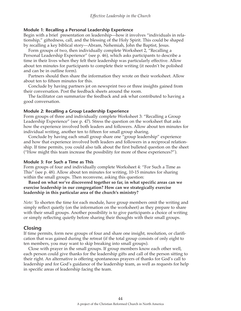### **Module 1: Recalling a Personal Leadership Experience**

Begin with a brief presentation on leadership—how it involves "individuals in relationship," giftedness, call, and the blessing of the Holy Spirit. This could be shaped by recalling a key biblical story—Abram, Nehemiah, John the Baptist, Jesus.

Form groups of two, then individually complete Worksheet 2, "Recalling a Personal Leadership Experience" (see p. 46), which asks participants to describe a time in their lives when they felt their leadership was particularly effective. Allow about ten minutes for participants to complete their writing (it needn't be polished and can be in outline form).

Partners should then share the information they wrote on their worksheet. Allow about ten to fifteen minutes for this.

Conclude by having partners jot on newsprint two or three insights gained from their conversation. Post the feedback sheets around the room.

The facilitator can summarize the feedback and ask what contributed to having a good conversation.

#### **Module 2: Recalling a Group Leadership Experience**

Form groups of three and individually complete Worksheet 3: "Recalling a Group Leadership Experience" (see p. 47). Stress the question on the worksheet that asks how the experience involved both leaders and followers. Allow about ten minutes for individual writing, another ten to fifteen for small group sharing.

Conclude by having each small group share one "group leadership" experience and how that experience involved both leaders and followers in a reciprocal relationship. If time permits, you could also talk about the first bulleted question on the sheet ("How might this team increase the possibility for more of these experiences?").

#### **Module 3: For Such a Time as This**

Form groups of four and individually complete Worksheet 4: "For Such a Time as This" (see p. 48). Allow about ten minutes for writing, 10-15 minutes for sharing within the small groups. Then reconvene, asking this question:

**Based on what we've discovered together so far, in what specific areas can we exercise leadership in our congregation? How can we strategically exercise leadership in this particular area of the church's ministry?**

*Note:* To shorten the time for each module, have group members omit the writing and simply reflect quietly (on the information on the worksheet) as they prepare to share with their small groups. Another possibility is to give participants a choice of writing or simply reflecting quietly before sharing their thoughts with their small groups.

### **Closing**

If time permits, form new groups of four and share one insight, resolution, or clarification that was gained during the retreat (if the total group consists of only eight to ten members, you may want to skip breaking into small groups).

Close with prayer in the small groups. If group members know each other well, each person could give thanks for the leadership gifts and call of the person sitting to their right. An alternative is offering spontaneous prayers of thanks for God's call to leadership and for God's guidance of the leadership team, as well as requests for help in specific areas of leadership facing the team.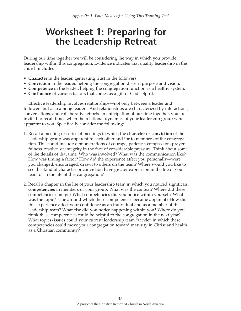# **Worksheet 1: Preparing for the Leadership Retreat**

During our time together we will be considering the way in which you provide leadership within this congregation. Evidence indicates that quality leadership in the church includes

- **Character** in the leader, generating trust in the followers.
- **Conviction** in the leader, helping the congregation discern purpose and vision.
- **Competence** in the leader, helping the congregation function as a healthy system.
- **Confluence** of various factors that comes as a gift of God's Spirit.

Effective leadership involves relationships—not only between a leader and followers but also among leaders. And relationships are characterized by interactions, conversations, and collaborative efforts. In anticipation of our time together, you are invited to recall times when the relational dynamics of your leadership group were apparent to you. Specifically consider the following:

- 1. Recall a meeting or series of meetings in which the **character** or **conviction** of the leadership group was apparent to each other and/or to members of the congregation. This could include demonstrations of courage, patience, compassion, prayerfulness, resolve, or integrity in the face of considerable pressure. Think about some of the details of that time. Who was involved? What was the communication like? How was timing a factor? How did the experience affect you personally—were you changed, encouraged, drawn to others on the team? Where would you like to see this kind of character or conviction have greater expression in the life of your team or in the life of this congregation?
- 2. Recall a chapter in the life of your leadership team in which you noticed significant **competencies** in members of your group. What was the context? Where did these competencies emerge? What competencies did you notice within yourself? What was the topic/issue around which these competencies became apparent? How did this experience affect your confidence as an individual and as a member of this leadership team? What else did you notice happening within you? Where do you think these competencies could be helpful to the congregation in the next year? What topics/issues could your current leadership team "tackle" in which these competencies could move your congregation toward maturity in Christ and health as a Christian community?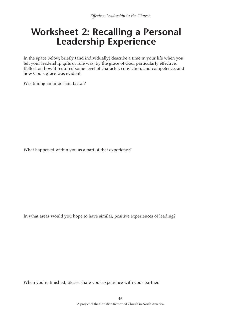# **Worksheet 2: Recalling a Personal Leadership Experience**

In the space below, briefly (and individually) describe a time in your life when you felt your leadership gifts or role was, by the grace of God, particularly effective. Reflect on how it required some level of character, conviction, and competence, and how God's grace was evident.

Was timing an important factor?

What happened within you as a part of that experience?

In what areas would you hope to have similar, positive experiences of leading?

When you're finished, please share your experience with your partner.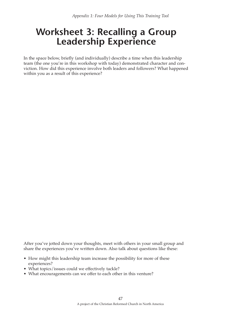# **Worksheet 3: Recalling a Group Leadership Experience**

In the space below, briefly (and individually) describe a time when this leadership team (the one you're in this workshop with today) demonstrated character and conviction. How did this experience involve both leaders and followers? What happened within you as a result of this experience?

After you've jotted down your thoughts, meet with others in your small group and share the experiences you've written down. Also talk about questions like these:

- How might this leadership team increase the possibility for more of these experiences?
- What topics/issues could we effectively tackle?
- What encouragements can we offer to each other in this venture?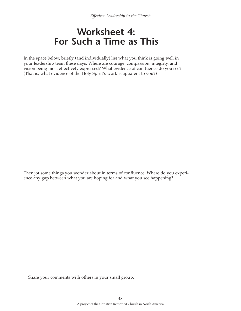*Effective Leadership in the Church*

# **Worksheet 4: For Such a Time as This**

In the space below, briefly (and individually) list what you think is going well in your leadership team these days. Where are courage, compassion, integrity, and vision being most effectively expressed? What evidence of confluence do you see? (That is, what evidence of the Holy Spirit's work is apparent to you?)

Then jot some things you wonder about in terms of confluence. Where do you experience any gap between what you are hoping for and what you see happening?

Share your comments with others in your small group.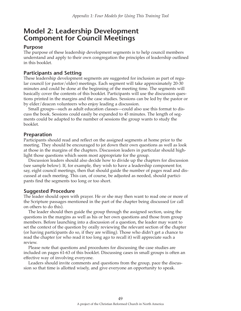### **Model 2: Leadership Development Component for Council Meetings**

### **Purpose**

The purpose of these leadership development segments is to help council members understand and apply to their own congregation the principles of leadership outlined in this booklet.

### **Participants and Setting**

These leadership development segments are suggested for inclusion as part of regular council (or pastor/elder) meetings. Each segment will take approximately 20-30 minutes and could be done at the beginning of the meeting time. The segments will basically cover the contents of this booklet. Participants will use the discussion questions printed in the margins and the case studies. Sessions can be led by the pastor or by elder/deacon volunteers who enjoy leading a discussion.

Small groups—such as adult education classes—could also use this format to discuss the book. Sessions could easily be expanded to 45 minutes. The length of segments could be adapted to the number of sessions the group wants to study the booklet.

### **Preparation**

Participants should read and reflect on the assigned segments at home prior to the meeting. They should be encouraged to jot down their own questions as well as look at those in the margins of the chapters. Discussion leaders in particular should highlight those questions which seem most appropriate for the group.

Discussion leaders should also decide how to divide up the chapters for discussion (see sample below). If, for example, they wish to have a leadership component for, say, eight council meetings, then that should guide the number of pages read and discussed at each meeting. This can, of course, be adjusted as needed, should participants find the segments too long or too short.

### **Suggested Procedure**

The leader should open with prayer. He or she may then want to read one or more of the Scripture passages mentioned in the part of the chapter being discussed (or call on others to do this).

The leader should then guide the group through the assigned section, using the questions in the margins as well as his or her own questions and those from group members. Before launching into a discussion of a question, the leader may want to set the context of the question by orally reviewing the relevant section of the chapter (or having participants do so, if they are willing). Those who didn't get a chance to read the chapter (or who read it too long ago to recall it) will appreciate such a review.

Please note that questions and procedures for discussing the case studies are included on pages 61-63 of this booklet. Discussing cases in small groups is often an effective way of involving everyone.

Leaders should invite comments and questions from the group, pace the discussion so that time is allotted wisely, and give everyone an opportunity to speak.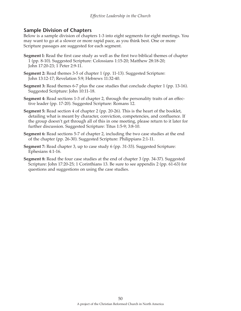### **Sample Division of Chapters**

Below is a sample division of chapters 1-3 into eight segments for eight meetings. You may want to go at a slower or more rapid pace, as you think best. One or more Scripture passages are suggested for each segment.

- **Segment l:** Read the first case study as well as the first two biblical themes of chapter 1 (pp. 8-10). Suggested Scripture: Colossians 1:15-20; Matthew 28:18-20; John 17:20-23; 1 Peter 2:9-11.
- **Segment 2:** Read themes 3-5 of chapter 1 (pp. 11-13). Suggested Scripture: John 13:12-17; Revelation 5:9; Hebrews 11:32-40.
- **Segment 3:** Read themes 6-7 plus the case studies that conclude chapter 1 (pp. 13-16). Suggested Scripture: John 10:11-18.
- **Segment 4:** Read sections 1-3 of chapter 2, through the personality traits of an effective leader (pp. 17-20). Suggested Scripture: Romans 12.
- **Segment 5:** Read section 4 of chapter 2 (pp. 20-26). This is the heart of the booklet, detailing what is meant by character, conviction, competencies, and confluence. If the group doesn't get through all of this in one meeting, please return to it later for further discussion. Suggested Scripture: Titus 1:5-9; 3:8-10.
- **Segment 6:** Read sections 5-7 of chapter 2, including the two case studies at the end of the chapter (pp. 26-30). Suggested Scripture: Philippians 2:1-11.
- **Segment 7:** Read chapter 3, up to case study 6 (pp. 31-33). Suggested Scripture: Ephesians 4:1-16.
- **Segment 8:** Read the four case studies at the end of chapter 3 (pp. 34-37). Suggested Scripture: John 17:20-25; 1 Corinthians 13. Be sure to see appendix 2 (pp. 61-63) for questions and suggestions on using the case studies.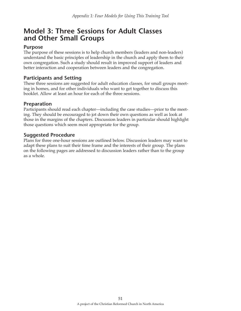### **Model 3: Three Sessions for Adult Classes and Other Small Groups**

### **Purpose**

The purpose of these sessions is to help church members (leaders and non-leaders) understand the basic principles of leadership in the church and apply them to their own congregation. Such a study should result in improved support of leaders and better interaction and cooperation between leaders and the congregation.

### **Participants and Setting**

These three sessions are suggested for adult education classes, for small groups meeting in homes, and for other individuals who want to get together to discuss this booklet. Allow at least an hour for each of the three sessions.

### **Preparation**

Participants should read each chapter—including the case studies—prior to the meeting. They should be encouraged to jot down their own questions as well as look at those in the margins of the chapters. Discussion leaders in particular should highlight those questions which seem most appropriate for the group.

### **Suggested Procedure**

Plans for three one-hour sessions are outlined below. Discussion leaders may want to adapt these plans to suit their time frame and the interests of their group. The plans on the following pages are addressed to discussion leaders rather than to the group as a whole.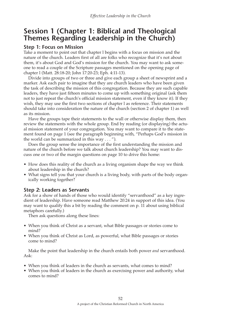### **Session 1 (Chapter 1: Biblical and Theological Themes Regarding Leadership in the Church)**

### **Step 1: Focus on Mission**

Take a moment to point out that chapter l begins with a focus on mission and the nature of the church. Leaders first of all are folks who recognize that it's not about them, it's about God and God's mission for the church. You may want to ask someone to read a couple of the Scripture passages mentioned on the opening page of chapter l (Matt. 28:18-20; John 17:20-23; Eph. 4:11-13).

Divide into groups of two or three and give each group a sheet of newsprint and a marker. Ask each pair to imagine that they are church leaders who have been given the task of describing the mission of this congregation. Because they are such capable leaders, they have just fifteen minutes to come up with something original (ask them not to just repeat the church's official mission statement, even if they know it). If they wish, they may use the first two sections of chapter l as reference. Their statements should take into consideration the nature of the church (section 2 of chapter 1) as well as its mission.

Have the groups tape their statements to the wall or otherwise display them, then review the statements with the whole group. End by reading (or displaying) the actual mission statement of your congregation. You may want to compare it to the statement found on page 1 (see the paragraph beginning with, "Perhaps God's mission in the world can be summarized in this way . . . ").

Does the group sense the importance of the first understanding the mission and nature of the church before we talk about church leadership? You may want to discuss one or two of the margin questions on page 10 to drive this home:

- How does this reality of the church as a living organism shape the way we think about leadership in the church?
- What signs tell you that your church is a living body, with parts of the body organically working together?

### **Step 2: Leaders as Servants**

Ask for a show of hands of those who would identify "servanthood" as a key ingredient of leadership. Have someone read Matthew 20:24 in support of this idea. (You may want to qualify this a bit by reading the comment on p. 11 about using biblical metaphors carefully.)

Then ask questions along these lines:

- When you think of Christ as a servant, what Bible passages or stories come to mind?
- When you think of Christ as Lord, as powerful, what Bible passages or stories come to mind?

Make the point that leadership in the church entails both power *and* servanthood. Ask:

- When you think of leaders in the church as servants, what comes to mind?
- When you think of leaders in the church as exercising power and authority, what comes to mind?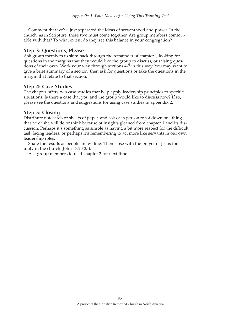Comment that we've just separated the ideas of servanthood and power. In the church, as in Scripture, these two must come together. Are group members comfortable with that? To what extent do they see this balance in your congregation?

### **Step 3: Questions, Please**

Ask group members to skim back through the remainder of chapter l, looking for questions in the margins that they would like the group to discuss, or raising questions of their own. Work your way through sections 4-7 in this way. You may want to give a brief summary of a section, then ask for questions or take the questions in the margin that relate to that section.

### **Step 4: Case Studies**

The chapter offers two case studies that help apply leadership principles to specific situations. Is there a case that you and the group would like to discuss now? If so, please see the questions and suggestions for using case studies in appendix 2.

### **Step 5: Closing**

Distribute notecards or sheets of paper, and ask each person to jot down one thing that he or she will do or think because of insights gleaned from chapter 1 and its discussion. Perhaps it's something as simple as having a bit more respect for the difficult task facing leaders, or perhaps it's remembering to act more like servants in our own leadership roles.

Share the results as people are willing. Then close with the prayer of Jesus for unity in the church (John 17:20-25).

Ask group members to read chapter 2 for next time.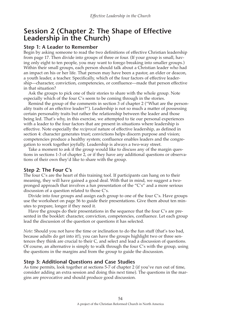### **Session 2 (Chapter 2: The Shape of Effective Leadership in the Church)**

### **Step 1: A Leader to Remember**

Begin by asking someone to read the two definitions of effective Christian leadership from page 17. Then divide into groups of three or four. (If your group is small, having only eight to ten people, you may want to forego breaking into smaller groups.) Within their small groups, each person should talk about a Christian leader who had an impact on his or her life. That person may have been a pastor, an elder or deacon, a youth leader, a teacher. Specifically, which of the four factors of effective leadership—character, conviction, competencies, or confluence—made that person effective in that situation?

Ask the groups to pick one of their stories to share with the whole group. Note especially which of the four C's seem to be coming through in the stories.

Remind the group of the comments in section 3 of chapter 2 ("What are the personality traits of an effective leader?"). Leadership is not so much a matter of possessing certain personality traits but rather the relationship between the leader and those being led. That's why, in this exercise, we attempted to tie our personal experiences with a leader to the four factors that are present in situations where leadership is effective. Note especially the *reciprocal* nature of effective leadership, as defined in section 4: character generates trust; convictions helps discern purpose and vision; competencies produce a healthy system; confluence enables leaders and the congregation to work together joyfully. Leadership is always a two-way street.

Take a moment to ask if the group would like to discuss any of the margin questions in sections 1-3 of chapter 2, or if they have any additional questions or observations of their own they'd like to share with the group.

### **Step 2: The Four C's**

The four C's are the heart of this training tool. If participants can hang on to their meaning, they will have gained a good deal. With that in mind, we suggest a twopronged approach that involves a fun presentation of the "C's" and a more serious discussion of a question related to those C's.

Divide into four groups and assign each group to one of the four C's. Have groups use the worksheet on page 56 to guide their presentations. Give them about ten minutes to prepare, longer if they need it.

Have the groups do their presentations in the sequence that the four C's are presented in the booklet: character, conviction, competencies, confluence. Let each group lead the discussion of the question or questions it has selected.

*Note:* Should you not have the time or inclination to do the fun stuff (that's too bad, because adults do get into it!), you can have the groups highlight two or three sentences they think are crucial to their C, and select and lead a discussion of questions. Of course, an alternative is simply to walk through the four C's with the group, using the questions in the margins and from the group to guide the discussion.

### **Step 3: Additional Questions and Case Studies**

As time permits, look together at sections 5-7 of chapter 2 (if you've run out of time, consider adding an extra session and doing this next time). The questions in the margins are provocative and should produce good discussion.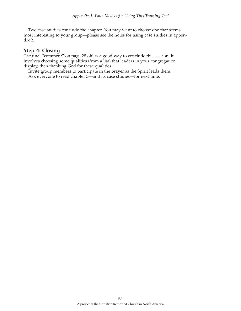Two case studies conclude the chapter. You may want to choose one that seems most interesting to your group—please see the notes for using case studies in appendix 2.

### **Step 4: Closing**

The final "comment" on page 28 offers a good way to conclude this session. It involves choosing some qualities (from a list) that leaders in your congregation display, then thanking God for these qualities.

Invite group members to participate in the prayer as the Spirit leads them. Ask everyone to read chapter 3—and its case studies—for next time.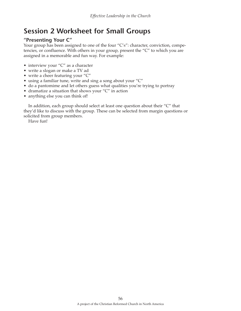### **Session 2 Worksheet for Small Groups**

### **"Presenting Your C"**

Your group has been assigned to one of the four "C's": character, conviction, competencies, or confluence. With others in your group, present the "C" to which you are assigned in a memorable and fun way. For example:

- interview your "C" as a character
- write a slogan or make a TV ad
- write a cheer featuring your "C"
- using a familiar tune, write and sing a song about your "C"
- do a pantomime and let others guess what qualities you're trying to portray
- dramatize a situation that shows your "C" in action
- anything else you can think of!

In addition, each group should select at least one question about their "C" that they'd like to discuss with the group. These can be selected from margin questions or solicited from group members.

Have fun!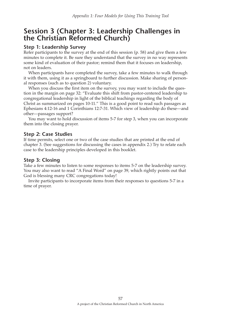### **Session 3 (Chapter 3: Leadership Challenges in the Christian Reformed Church)**

### **Step 1: Leadership Survey**

Refer participants to the survey at the end of this session  $(p. 58)$  and give them a few minutes to complete it. Be sure they understand that the survey in no way represents some kind of evaluation of their pastor; remind them that it focuses on leadership, not on leaders.

When participants have completed the survey, take a few minutes to walk through it with them, using it as a springboard to further discussion. Make sharing of personal responses (such as to question 2) voluntary.

When you discuss the first item on the survey, you may want to include the question in the margin on page 32: "Evaluate this shift from pastor-centered leadership to congregational leadership in light of the biblical teachings regarding the body of Christ as summarized on pages 10-11." This is a good point to read such passages as Ephesians 4:12-16 and 1 Corinthians 12:7-31. Which view of leadership do these—and other—passages support?

You may want to hold discussion of items 5-7 for step 3, when you can incorporate them into the closing prayer.

### **Step 2: Case Studies**

If time permits, select one or two of the case studies that are printed at the end of chapter 3. (See suggestions for discussing the cases in appendix 2.) Try to relate each case to the leadership principles developed in this booklet.

### **Step 3: Closing**

Take a few minutes to listen to some responses to items 5-7 on the leadership survey. You may also want to read "A Final Word" on page 39, which rightly points out that God is blessing many CRC congregations today!

Invite participants to incorporate items from their responses to questions 5-7 in a time of prayer.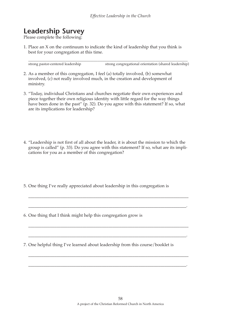### **Leadership Survey**

Please complete the following:

1. Place an X on the continuum to indicate the kind of leadership that you think is best for your congregation at this time.

\_\_\_\_\_\_\_\_\_\_\_\_\_\_\_\_\_\_\_\_\_\_\_\_\_\_\_\_\_\_\_\_\_\_\_\_\_\_\_\_\_\_\_\_\_\_\_\_\_\_\_\_\_\_\_\_\_\_\_\_\_\_\_\_\_\_\_\_\_\_\_\_\_\_\_\_\_\_\_\_\_\_\_\_\_\_\_\_\_\_ strong pastor-centered leadership strong congregational orientation (shared leadership)

- 2. As a member of this congregation, I feel (a) totally involved, (b) somewhat involved, (c) not really involved much, in the creation and development of ministry.
- 3. "Today, individual Christians and churches negotiate their own experiences and piece together their own religious identity with little regard for the way things have been done in the past" (p. 32). Do you agree with this statement? If so, what are its implications for leadership?
- 4. "Leadership is not first of all about the leader, it is about the mission to which the group is called" (p. 33). Do you agree with this statement? If so, what are its implications for you as a member of this congregation?

\_\_\_\_\_\_\_\_\_\_\_\_\_\_\_\_\_\_\_\_\_\_\_\_\_\_\_\_\_\_\_\_\_\_\_\_\_\_\_\_\_\_\_\_\_\_\_\_\_\_\_\_\_\_\_\_\_\_\_\_\_\_\_\_\_\_\_\_\_\_\_\_\_\_

\_\_\_\_\_\_\_\_\_\_\_\_\_\_\_\_\_\_\_\_\_\_\_\_\_\_\_\_\_\_\_\_\_\_\_\_\_\_\_\_\_\_\_\_\_\_\_\_\_\_\_\_\_\_\_\_\_\_\_\_\_\_\_\_\_\_\_\_\_\_\_\_\_.

\_\_\_\_\_\_\_\_\_\_\_\_\_\_\_\_\_\_\_\_\_\_\_\_\_\_\_\_\_\_\_\_\_\_\_\_\_\_\_\_\_\_\_\_\_\_\_\_\_\_\_\_\_\_\_\_\_\_\_\_\_\_\_\_\_\_\_\_\_\_\_\_\_\_

\_\_\_\_\_\_\_\_\_\_\_\_\_\_\_\_\_\_\_\_\_\_\_\_\_\_\_\_\_\_\_\_\_\_\_\_\_\_\_\_\_\_\_\_\_\_\_\_\_\_\_\_\_\_\_\_\_\_\_\_\_\_\_\_\_\_\_\_\_\_\_\_\_.

\_\_\_\_\_\_\_\_\_\_\_\_\_\_\_\_\_\_\_\_\_\_\_\_\_\_\_\_\_\_\_\_\_\_\_\_\_\_\_\_\_\_\_\_\_\_\_\_\_\_\_\_\_\_\_\_\_\_\_\_\_\_\_\_\_\_\_\_\_\_\_\_\_\_

\_\_\_\_\_\_\_\_\_\_\_\_\_\_\_\_\_\_\_\_\_\_\_\_\_\_\_\_\_\_\_\_\_\_\_\_\_\_\_\_\_\_\_\_\_\_\_\_\_\_\_\_\_\_\_\_\_\_\_\_\_\_\_\_\_\_\_\_\_\_\_\_\_.

- 5. One thing I've really appreciated about leadership in this congregation is
- 6. One thing that I think might help this congregation grow is

7. One helpful thing I've learned about leadership from this course/booklet is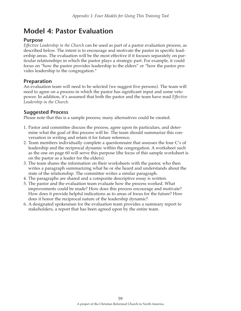### **Model 4: Pastor Evaluation**

### **Purpose**

*Effective Leadership in the Church* can be used as part of a pastor evaluation process, as described below. The intent is to encourage and motivate the pastor in specific leadership areas. The evaluation will be the most effective if it focuses separately on particular relationships in which the pastor plays a strategic part. For example, it could focus on "how the pastor provides leadership to the elders" or "how the pastor provides leadership to the congregation."

### **Preparation**

An evaluation team will need to be selected (we suggest five persons). The team will need to agree on a process in which the pastor has significant input and some veto power. In addition, it's assumed that both the pastor and the team have read *Effective Leadership in the Church.*

### **Suggested Process**

Please note that this is a sample process; many alternatives could be created.

- 1. Pastor and committee discuss the process, agree upon its particulars, and determine what the goal of this process will be. The team should summarize this conversation in writing and retain it for future reference.
- 2. Team members individually complete a questionnaire that assesses the four C's of leadership and the reciprocal dynamic within the congregation. A worksheet such as the one on page 60 will serve this purpose (the focus of this sample worksheet is on the pastor as a leader for the elders).
- 3. The team shares the information on their worksheets with the pastor, who then writes a paragraph summarizing what he or she heard and understands about the state of the relationship. The committee writes a similar paragraph.
- 4. The paragraphs are shared and a composite descriptive essay is written.
- 5. The pastor and the evaluation team evaluate how the process worked. What improvements could be made? How does this process encourage and motivate? How does it provide helpful indications as to areas of focus for the future? How does it honor the reciprocal nature of the leadership dynamic?
- 6. A designated spokesman for the evaluation team provides a summary report to stakeholders, a report that has been agreed upon by the entire team.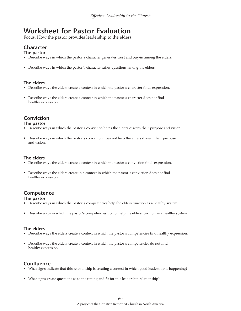### **Worksheet for Pastor Evaluation**

Focus: How the pastor provides leadership to the elders.

### **Character**

#### **The pastor**

- Describe ways in which the pastor's character generates trust and buy-in among the elders.
- Describe ways in which the pastor's character raises questions among the elders.

### **The elders**

- Describe ways the elders create a context in which the pastor's character finds expression.
- Describe ways the elders create a context in which the pastor's character does not find healthy expression.

### **Conviction**

**The pastor**

- Describe ways in which the pastor's conviction helps the elders discern their purpose and vision.
- Describe ways in which the pastor's conviction does not help the elders discern their purpose and vision.

#### **The elders**

- Describe ways the elders create a context in which the pastor's conviction finds expression.
- Describe ways the elders create in a context in which the pastor's conviction does not find healthy expression.

### **Competence**

**The pastor**

- Describe ways in which the pastor's competencies help the elders function as a healthy system.
- Describe ways in which the pastor's competencies do not help the elders function as a healthy system.

#### **The elders**

- Describe ways the elders create a context in which the pastor's competencies find healthy expression.
- Describe ways the elders create a context in which the pastor's competencies do not find healthy expression.

### **Confluence**

- What signs indicate that this relationship is creating a context in which good leadership is happening?
- What signs create questions as to the timing and fit for this leadership relationship?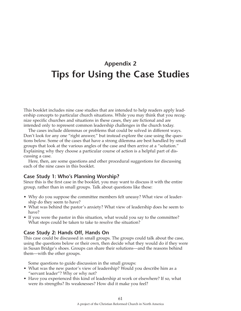# **Appendix 2 Tips for Using the Case Studies**

This booklet includes nine case studies that are intended to help readers apply leadership concepts to particular church situations. While you may think that you recognize specific churches and situations in these cases, they are fictional and are intended only to represent common leadership challenges in the church today.

The cases include dilemmas or problems that could be solved in different ways. Don't look for any one "right answer," but instead explore the case using the questions below. Some of the cases that have a strong dilemma are best handled by small groups that look at the various angles of the case and then arrive at a "solution." Explaining why they choose a particular course of action is a helpful part of discussing a case.

Here, then, are some questions and other procedural suggestions for discussing each of the nine cases in this booklet.

### **Case Study 1: Who's Planning Worship?**

Since this is the first case in the booklet, you may want to discuss it with the entire group, rather than in small groups. Talk about questions like these:

- Why do you suppose the committee members felt uneasy? What view of leadership do they seem to have?
- What was behind the pastor's anxiety? What view of leadership does he seem to have?
- If you were the pastor in this situation, what would you say to the committee? What steps could be taken to take to resolve the situation?

### **Case Study 2: Hands Off, Hands On**

This case could be discussed in small groups. The groups could talk about the case, using the questions below or their own, then decide what they would do if they were in Susan Bridge's shoes. Groups can share their solutions—and the reasons behind them—with the other groups.

Some questions to guide discussion in the small groups:

- What was the new pastor's view of leadership? Would you describe him as a "servant leader"? Why or why not?
- Have you experienced this kind of leadership at work or elsewhere? If so, what were its strengths? Its weaknesses? How did it make you feel?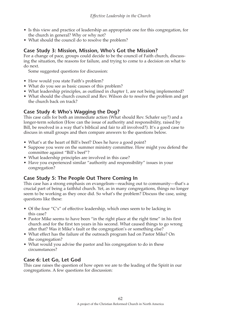- Is this view and practice of leadership an appropriate one for this congregation, for the church in general? Why or why not?
- What should the council do to resolve the problem?

### **Case Study 3: Mission, Mission, Who's Got the Mission?**

For a change of pace, groups could decide to be the council of Faith church, discussing the situation, the reasons for failure, and trying to come to a decision on what to do next.

Some suggested questions for discussion:

- How would you state Faith's problem?
- What do you see as basic causes of this problem?
- What leadership principles, as outlined in chapter 1, are not being implemented?
- What should the church council and Rev. Wilson do to resolve the problem and get the church back on track?

### **Case Study 4: Who's Wagging the Dog?**

This case calls for both an immediate action (What should Rev. Schafer say?) and a longer-term solution (How can the issue of authority and responsibility, raised by Bill, be resolved in a way that's biblical and fair to all involved?). It's a good case to discuss in small groups and then compare answers to the questions below.

- What's at the heart of Bill's beef? Does he have a good point?
- Suppose you were on the summer ministry committee. How might you defend the committee against "Bill's beef"?
- What leadership principles are involved in this case?
- Have you experienced similar "authority and responsibility" issues in your congregation?

### **Case Study 5: The People Out There Coming In**

This case has a strong emphasis on evangelism—reaching out to community—that's a crucial part of being a faithful church. Yet, as in many congregations, things no longer seem to be working as they once did. So what's the problem? Discuss the case, using questions like these:

- Of the four "C's" of effective leadership, which ones seem to be lacking in this case?
- Pastor Mike seems to have been "in the right place at the right time" in his first church and for the first ten years in his second. What caused things to go wrong after that? Was it Mike's fault or the congregation's or something else?
- What effect has the failure of the outreach program had on Pastor Mike? On the congregation?
- What would you advise the pastor and his congregation to do in these circumstances?

### **Case 6: Let Go, Let God**

This case raises the question of how open we are to the leading of the Spirit in our congregations. A few questions for discussion: